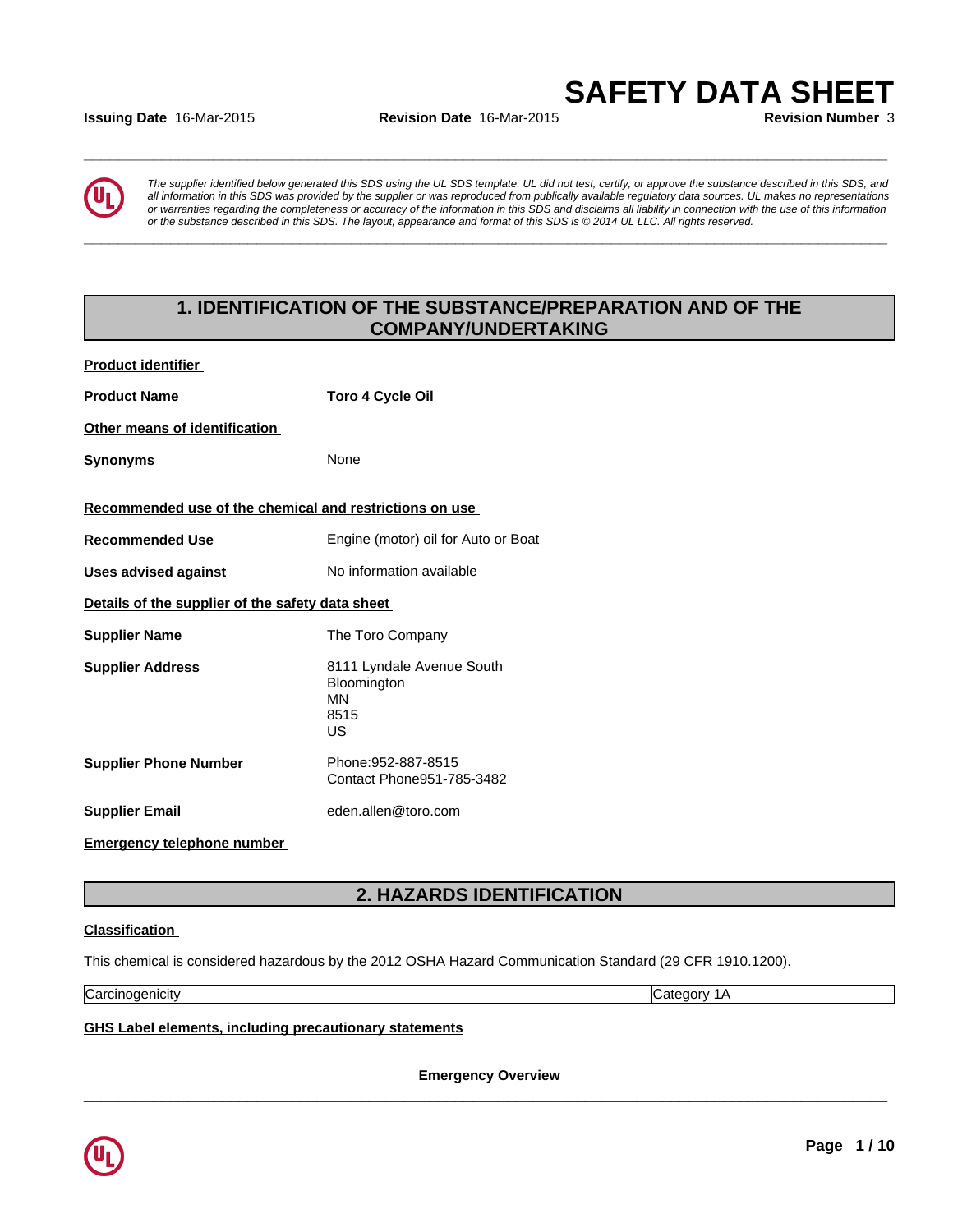### **Issuing Date** 16-Mar-2015 **Revision Date** 16-Mar-2015 **Revision Number** 3

*The supplier identified below generated this SDS using the UL SDS template. UL did not test, certify, or approve the substance described in this SDS, and all information in this SDS was provided by the supplier or was reproduced from publically available regulatory data sources. UL makes no representations or warranties regarding the completeness or accuracy of the information in this SDS and disclaims all liability in connection with the use of this information* ate 16-Mar-2015<br> **Revision Date 16-Mar-2015**<br> **SAFETY DATA SHEET**<br>
Revision Number 3<br>
The supplier identified below generated this SDS using the UL SDS template. UL did not test, certify, or approve the substance describe

**\_\_\_\_\_\_\_\_\_\_\_\_\_\_\_\_\_\_\_\_\_\_\_\_\_\_\_\_\_\_\_\_\_\_\_\_\_\_\_\_\_\_\_\_\_\_\_\_\_\_\_\_\_\_\_\_\_\_\_\_\_\_\_\_\_\_\_\_\_\_\_\_\_\_\_\_\_\_\_\_\_\_\_\_\_\_\_\_\_\_\_\_\_**

**\_\_\_\_\_\_\_\_\_\_\_\_\_\_\_\_\_\_\_\_\_\_\_\_\_\_\_\_\_\_\_\_\_\_\_\_\_\_\_\_\_\_\_\_\_\_\_\_\_\_\_\_\_\_\_\_\_\_\_\_\_\_\_\_\_\_\_\_\_\_\_\_\_\_\_\_\_\_\_\_\_\_\_\_\_\_\_\_\_\_\_\_\_**

# **1. IDENTIFICATION OF THE SUBSTANCE/PREPARATION AND OF THE COMPANY/UNDERTAKING**

| <b>Product identifier</b>                               |                                                               |
|---------------------------------------------------------|---------------------------------------------------------------|
| <b>Product Name</b>                                     | Toro 4 Cycle Oil                                              |
| Other means of identification                           |                                                               |
| <b>Synonyms</b>                                         | None                                                          |
| Recommended use of the chemical and restrictions on use |                                                               |
| <b>Recommended Use</b>                                  | Engine (motor) oil for Auto or Boat                           |
| <b>Uses advised against</b>                             | No information available                                      |
| Details of the supplier of the safety data sheet        |                                                               |
| <b>Supplier Name</b>                                    | The Toro Company                                              |
| <b>Supplier Address</b>                                 | 8111 Lyndale Avenue South<br>Bloomington<br>MN<br>8515<br>US. |
| <b>Supplier Phone Number</b>                            | Phone: 952-887-8515<br>Contact Phone951-785-3482              |
| <b>Supplier Email</b>                                   | eden.allen@toro.com                                           |
| <b>Emergency telephone number</b>                       |                                                               |

# **2. HAZARDS IDENTIFICATION**

# **Classification**

This chemical is considered hazardous by the 2012 OSHA Hazard Communication Standard (29 CFR 1910.1200).

Carcinogenicity Category 1A

**GHS Label elements, including precautionary statements**

**Emergency Overview**

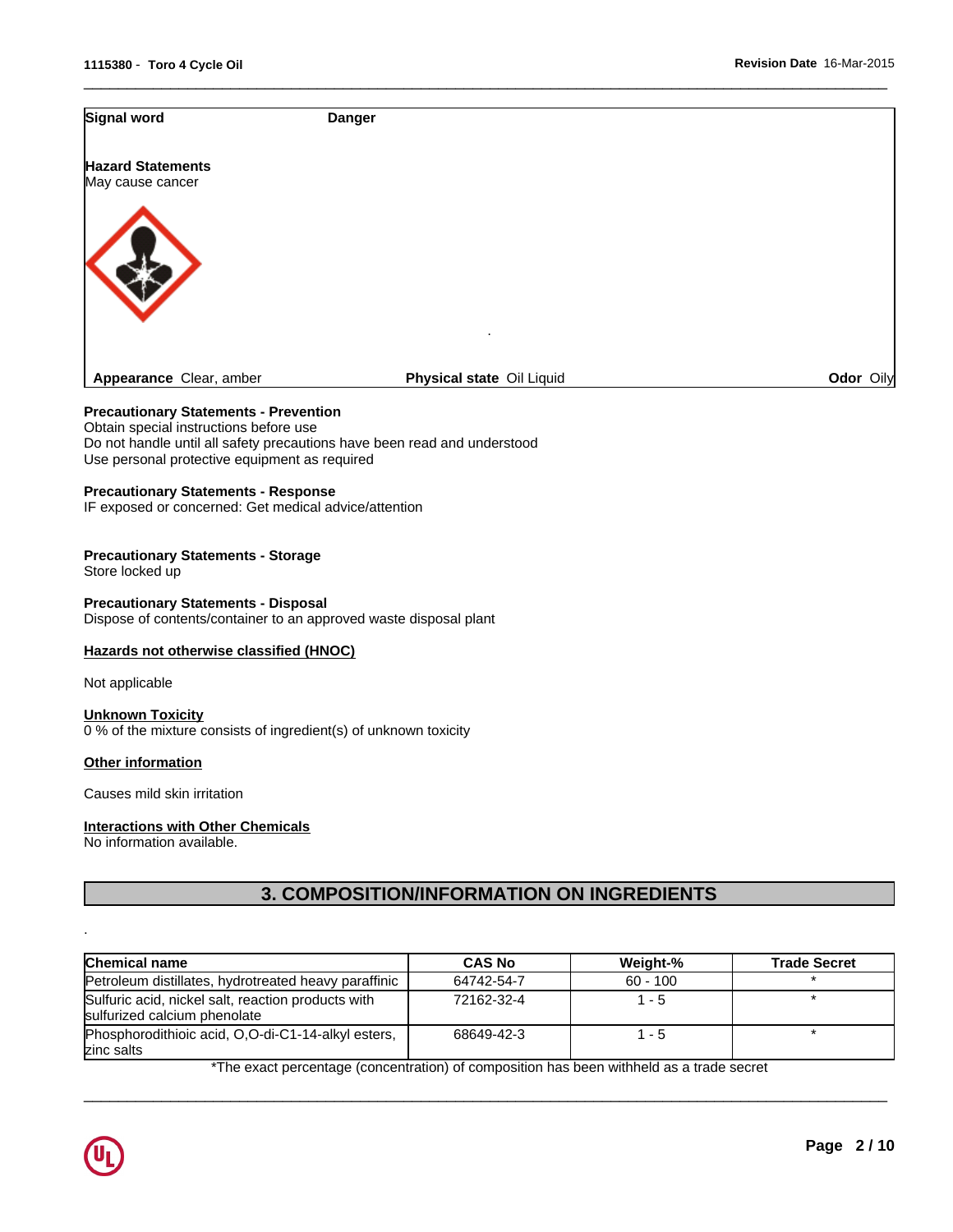| Signal word                                  | <b>Danger</b>             |           |
|----------------------------------------------|---------------------------|-----------|
| <b>Hazard Statements</b><br>May cause cancer |                           |           |
|                                              |                           |           |
|                                              | ٠                         |           |
| Appearance Clear, amber                      | Physical state Oil Liquid | Odor Oily |

 $\overline{\phantom{a}}$  ,  $\overline{\phantom{a}}$  ,  $\overline{\phantom{a}}$  ,  $\overline{\phantom{a}}$  ,  $\overline{\phantom{a}}$  ,  $\overline{\phantom{a}}$  ,  $\overline{\phantom{a}}$  ,  $\overline{\phantom{a}}$  ,  $\overline{\phantom{a}}$  ,  $\overline{\phantom{a}}$  ,  $\overline{\phantom{a}}$  ,  $\overline{\phantom{a}}$  ,  $\overline{\phantom{a}}$  ,  $\overline{\phantom{a}}$  ,  $\overline{\phantom{a}}$  ,  $\overline{\phantom{a}}$ 

# **Precautionary Statements - Prevention**

Obtain special instructions before use Do not handle until all safety precautions have been read and understood Use personal protective equipment as required

### **Precautionary Statements - Response**

IF exposed or concerned: Get medical advice/attention

### **Precautionary Statements - Storage**

Store locked up

#### **Precautionary Statements - Disposal**

Dispose of contents/container to an approved waste disposal plant

### **Hazards not otherwise classified (HNOC)**

Not applicable

#### **Unknown Toxicity** 0 % of the mixture consists of ingredient(s) of unknown toxicity

#### **Other information**

Causes mild skin irritation

# **Interactions with Other Chemicals**

No information available.

# **3. COMPOSITION/INFORMATION ON INGREDIENTS**

| Chemical name                                                                      | <b>CAS No</b> | Weight-%   | <b>Trade Secret</b> |
|------------------------------------------------------------------------------------|---------------|------------|---------------------|
| Petroleum distillates, hydrotreated heavy paraffinic                               | 64742-54-7    | $60 - 100$ |                     |
| Sulfuric acid, nickel salt, reaction products with<br>sulfurized calcium phenolate | 72162-32-4    | $-5$       |                     |
| Phosphorodithioic acid, O.O-di-C1-14-alkyl esters,<br>zinc salts                   | 68649-42-3    | $-5$       |                     |

\*The exact percentage (concentration) of composition has been withheld as a trade secret

 $\overline{\phantom{a}}$  ,  $\overline{\phantom{a}}$  ,  $\overline{\phantom{a}}$  ,  $\overline{\phantom{a}}$  ,  $\overline{\phantom{a}}$  ,  $\overline{\phantom{a}}$  ,  $\overline{\phantom{a}}$  ,  $\overline{\phantom{a}}$  ,  $\overline{\phantom{a}}$  ,  $\overline{\phantom{a}}$  ,  $\overline{\phantom{a}}$  ,  $\overline{\phantom{a}}$  ,  $\overline{\phantom{a}}$  ,  $\overline{\phantom{a}}$  ,  $\overline{\phantom{a}}$  ,  $\overline{\phantom{a}}$ 



.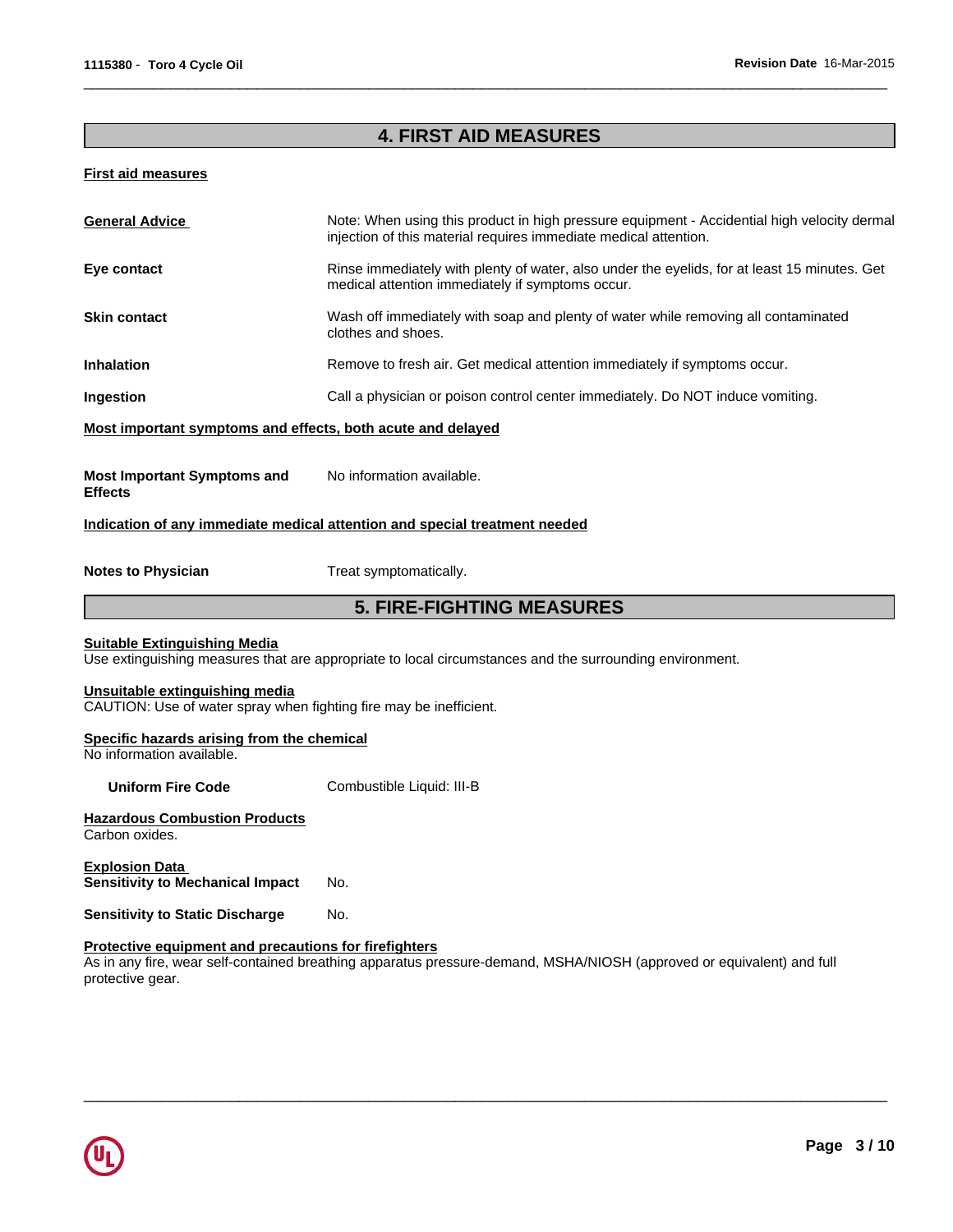# **4. FIRST AID MEASURES**

 $\overline{\phantom{a}}$  ,  $\overline{\phantom{a}}$  ,  $\overline{\phantom{a}}$  ,  $\overline{\phantom{a}}$  ,  $\overline{\phantom{a}}$  ,  $\overline{\phantom{a}}$  ,  $\overline{\phantom{a}}$  ,  $\overline{\phantom{a}}$  ,  $\overline{\phantom{a}}$  ,  $\overline{\phantom{a}}$  ,  $\overline{\phantom{a}}$  ,  $\overline{\phantom{a}}$  ,  $\overline{\phantom{a}}$  ,  $\overline{\phantom{a}}$  ,  $\overline{\phantom{a}}$  ,  $\overline{\phantom{a}}$ 

### **First aid measures**

| Eye contact                                                                                          |                                                                                                                                                  |  |  |  |  |  |
|------------------------------------------------------------------------------------------------------|--------------------------------------------------------------------------------------------------------------------------------------------------|--|--|--|--|--|
|                                                                                                      | Rinse immediately with plenty of water, also under the eyelids, for at least 15 minutes. Get<br>medical attention immediately if symptoms occur. |  |  |  |  |  |
| <b>Skin contact</b>                                                                                  | Wash off immediately with soap and plenty of water while removing all contaminated<br>clothes and shoes.                                         |  |  |  |  |  |
| <b>Inhalation</b>                                                                                    | Remove to fresh air. Get medical attention immediately if symptoms occur.                                                                        |  |  |  |  |  |
| Ingestion                                                                                            | Call a physician or poison control center immediately. Do NOT induce vomiting.                                                                   |  |  |  |  |  |
| Most important symptoms and effects, both acute and delayed                                          |                                                                                                                                                  |  |  |  |  |  |
| <b>Most Important Symptoms and</b><br><b>Effects</b>                                                 | No information available.                                                                                                                        |  |  |  |  |  |
|                                                                                                      | Indication of any immediate medical attention and special treatment needed                                                                       |  |  |  |  |  |
| <b>Notes to Physician</b>                                                                            | Treat symptomatically.                                                                                                                           |  |  |  |  |  |
|                                                                                                      | <b>5. FIRE-FIGHTING MEASURES</b>                                                                                                                 |  |  |  |  |  |
| <b>Suitable Extinguishing Media</b>                                                                  | Use extinguishing measures that are appropriate to local circumstances and the surrounding environment.                                          |  |  |  |  |  |
|                                                                                                      |                                                                                                                                                  |  |  |  |  |  |
| Unsuitable extinguishing media<br>CAUTION: Use of water spray when fighting fire may be inefficient. |                                                                                                                                                  |  |  |  |  |  |
| Specific hazards arising from the chemical<br>No information available.                              |                                                                                                                                                  |  |  |  |  |  |
| <b>Uniform Fire Code</b>                                                                             | Combustible Liquid: III-B                                                                                                                        |  |  |  |  |  |
| <b>Hazardous Combustion Products</b><br>Carbon oxides.                                               |                                                                                                                                                  |  |  |  |  |  |
| <b>Explosion Data</b><br><b>Sensitivity to Mechanical Impact</b>                                     | No.                                                                                                                                              |  |  |  |  |  |
| <b>Sensitivity to Static Discharge</b>                                                               | No.                                                                                                                                              |  |  |  |  |  |
|                                                                                                      |                                                                                                                                                  |  |  |  |  |  |

As in any fire, wear self-contained breathing apparatus pressure-demand, MSHA/NIOSH (approved or equivalent) and full protective gear.

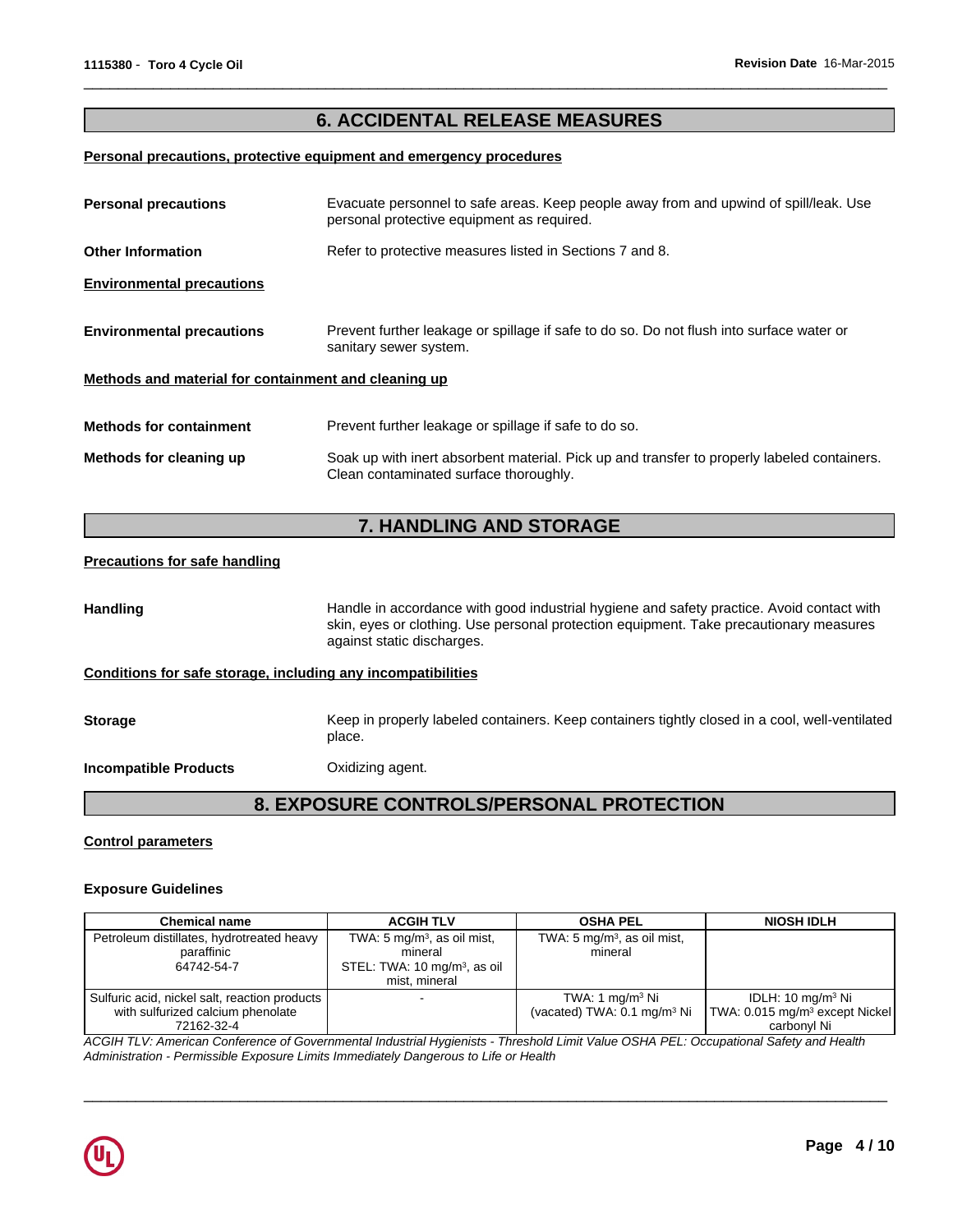# **6. ACCIDENTAL RELEASE MEASURES**

 $\overline{\phantom{a}}$  ,  $\overline{\phantom{a}}$  ,  $\overline{\phantom{a}}$  ,  $\overline{\phantom{a}}$  ,  $\overline{\phantom{a}}$  ,  $\overline{\phantom{a}}$  ,  $\overline{\phantom{a}}$  ,  $\overline{\phantom{a}}$  ,  $\overline{\phantom{a}}$  ,  $\overline{\phantom{a}}$  ,  $\overline{\phantom{a}}$  ,  $\overline{\phantom{a}}$  ,  $\overline{\phantom{a}}$  ,  $\overline{\phantom{a}}$  ,  $\overline{\phantom{a}}$  ,  $\overline{\phantom{a}}$ 

#### **Personal precautions, protective equipment and emergency procedures**

| <b>Personal precautions</b>                          | Evacuate personnel to safe areas. Keep people away from and upwind of spill/leak. Use<br>personal protective equipment as required.   |  |  |  |
|------------------------------------------------------|---------------------------------------------------------------------------------------------------------------------------------------|--|--|--|
| <b>Other Information</b>                             | Refer to protective measures listed in Sections 7 and 8.                                                                              |  |  |  |
| <b>Environmental precautions</b>                     |                                                                                                                                       |  |  |  |
| <b>Environmental precautions</b>                     | Prevent further leakage or spillage if safe to do so. Do not flush into surface water or<br>sanitary sewer system.                    |  |  |  |
| Methods and material for containment and cleaning up |                                                                                                                                       |  |  |  |
| <b>Methods for containment</b>                       | Prevent further leakage or spillage if safe to do so.                                                                                 |  |  |  |
| Methods for cleaning up                              | Soak up with inert absorbent material. Pick up and transfer to properly labeled containers.<br>Clean contaminated surface thoroughly. |  |  |  |

# **7. HANDLING AND STORAGE**

#### **Precautions for safe handling**

Handling **Handle in accordance with good industrial hygiene and safety practice. Avoid contact with** skin, eyes or clothing. Use personal protection equipment. Take precautionary measures against static discharges.

#### **Conditions for safe storage, including any incompatibilities**

Storage **Storage** Keep in properly labeled containers. Keep containers tightly closed in a cool, well-ventilated place.

**Incompatible Products Canadia** Oxidizing agent.

# **8. EXPOSURE CONTROLS/PERSONAL PROTECTION**

#### **Control parameters**

#### **Exposure Guidelines**

| <b>Chemical name</b>                                                                             | <b>ACGIH TLV</b>                                                                                                | <b>OSHA PEL</b>                                              | <b>NIOSH IDLH</b>                                                                 |
|--------------------------------------------------------------------------------------------------|-----------------------------------------------------------------------------------------------------------------|--------------------------------------------------------------|-----------------------------------------------------------------------------------|
| Petroleum distillates, hydrotreated heavy<br>paraffinic<br>64742-54-7                            | TWA: 5 mg/m <sup>3</sup> , as oil mist,<br>mineral<br>STEL: TWA: 10 mg/m <sup>3</sup> , as oil<br>mist, mineral | TWA: 5 mg/m <sup>3</sup> , as oil mist,<br>mineral           |                                                                                   |
| Sulfuric acid, nickel salt, reaction products<br>with sulfurized calcium phenolate<br>72162-32-4 |                                                                                                                 | TWA: 1 $mq/m3$ Ni<br>(vacated) TWA: 0.1 mg/m <sup>3</sup> Ni | IDLH: 10 mg/m $3$ Ni<br>TWA: 0.015 mg/m <sup>3</sup> except Nickel<br>carbonvl Ni |

*ACGIH TLV: American Conference of Governmental Industrial Hygienists - Threshold Limit Value OSHA PEL: Occupational Safety and Health Administration - Permissible Exposure Limits Immediately Dangerous to Life or Health*

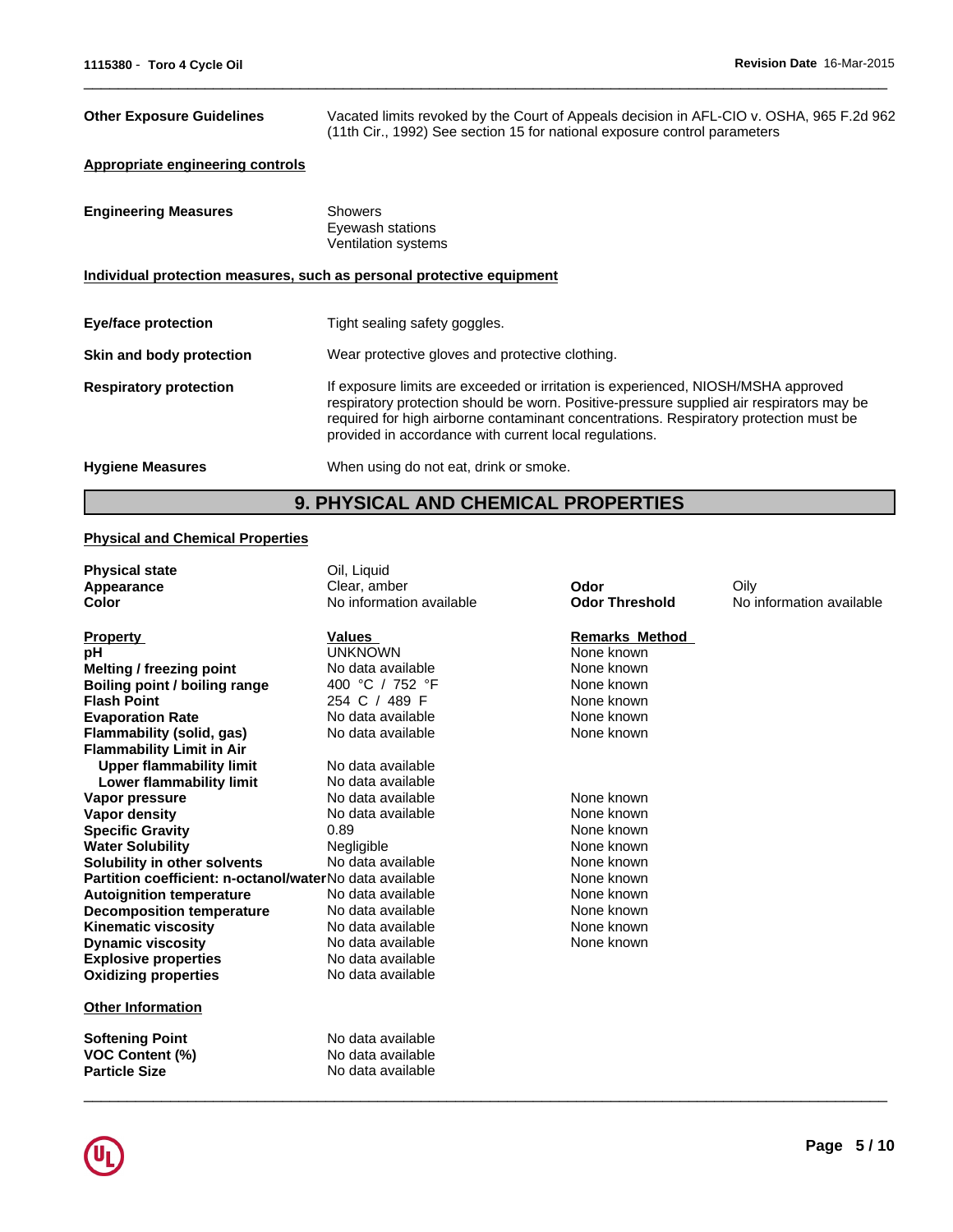**Odor Threshold** No information available

Oily

| <b>Other Exposure Guidelines</b>        | Vacated limits revoked by the Court of Appeals decision in AFL-CIO v. OSHA, 965 F.2d 962<br>(11th Cir., 1992) See section 15 for national exposure control parameters                                                                                                                                                            |
|-----------------------------------------|----------------------------------------------------------------------------------------------------------------------------------------------------------------------------------------------------------------------------------------------------------------------------------------------------------------------------------|
| <b>Appropriate engineering controls</b> |                                                                                                                                                                                                                                                                                                                                  |
| <b>Engineering Measures</b>             | <b>Showers</b><br>Eyewash stations<br>Ventilation systems                                                                                                                                                                                                                                                                        |
|                                         | Individual protection measures, such as personal protective equipment                                                                                                                                                                                                                                                            |
| Eye/face protection                     | Tight sealing safety goggles.                                                                                                                                                                                                                                                                                                    |
| Skin and body protection                | Wear protective gloves and protective clothing.                                                                                                                                                                                                                                                                                  |
| <b>Respiratory protection</b>           | If exposure limits are exceeded or irritation is experienced, NIOSH/MSHA approved<br>respiratory protection should be worn. Positive-pressure supplied air respirators may be<br>required for high airborne contaminant concentrations. Respiratory protection must be<br>provided in accordance with current local regulations. |
| <b>Hygiene Measures</b>                 | When using do not eat, drink or smoke.                                                                                                                                                                                                                                                                                           |
|                                         |                                                                                                                                                                                                                                                                                                                                  |

 $\overline{\phantom{a}}$  ,  $\overline{\phantom{a}}$  ,  $\overline{\phantom{a}}$  ,  $\overline{\phantom{a}}$  ,  $\overline{\phantom{a}}$  ,  $\overline{\phantom{a}}$  ,  $\overline{\phantom{a}}$  ,  $\overline{\phantom{a}}$  ,  $\overline{\phantom{a}}$  ,  $\overline{\phantom{a}}$  ,  $\overline{\phantom{a}}$  ,  $\overline{\phantom{a}}$  ,  $\overline{\phantom{a}}$  ,  $\overline{\phantom{a}}$  ,  $\overline{\phantom{a}}$  ,  $\overline{\phantom{a}}$ 

# **9. PHYSICAL AND CHEMICAL PROPERTIES**

No information available **Odor Threshold** 

**Odor**

### **Physical and Chemical Properties**

**Physical state Color Appearance**

| <b>Property</b>                                         | <b>Values</b>     | <b>Remarks Method</b> |  |
|---------------------------------------------------------|-------------------|-----------------------|--|
| рH                                                      | UNKNOWN           | None known            |  |
| Melting / freezing point                                | No data available | None known            |  |
| Boiling point / boiling range                           | 400 °C / 752 °F   | None known            |  |
| <b>Flash Point</b>                                      | 254 C / 489 F     | None known            |  |
| <b>Evaporation Rate</b>                                 | No data available | None known            |  |
| Flammability (solid, gas)                               | No data available | None known            |  |
| <b>Flammability Limit in Air</b>                        |                   |                       |  |
| <b>Upper flammability limit</b>                         | No data available |                       |  |
| Lower flammability limit                                | No data available |                       |  |
| Vapor pressure                                          | No data available | None known            |  |
| Vapor density                                           | No data available | None known            |  |
| <b>Specific Gravity</b>                                 | 0.89              | None known            |  |
| <b>Water Solubility</b>                                 | Negligible        | None known            |  |
| Solubility in other solvents                            | No data available | None known            |  |
| Partition coefficient: n-octanol/waterNo data available |                   | None known            |  |
| <b>Autoignition temperature</b>                         | No data available | None known            |  |
| <b>Decomposition temperature</b>                        | No data available | None known            |  |
| <b>Kinematic viscosity</b>                              | No data available | None known            |  |
| <b>Dynamic viscosity</b>                                | No data available | None known            |  |
| <b>Explosive properties</b>                             | No data available |                       |  |
| <b>Oxidizing properties</b>                             | No data available |                       |  |
| <b>Other Information</b>                                |                   |                       |  |
| <b>Softening Point</b>                                  | No data available |                       |  |
| <b>VOC Content (%)</b>                                  | No data available |                       |  |
| <b>Particle Size</b>                                    | No data available |                       |  |

Oil, Liquid<br>Clear, amber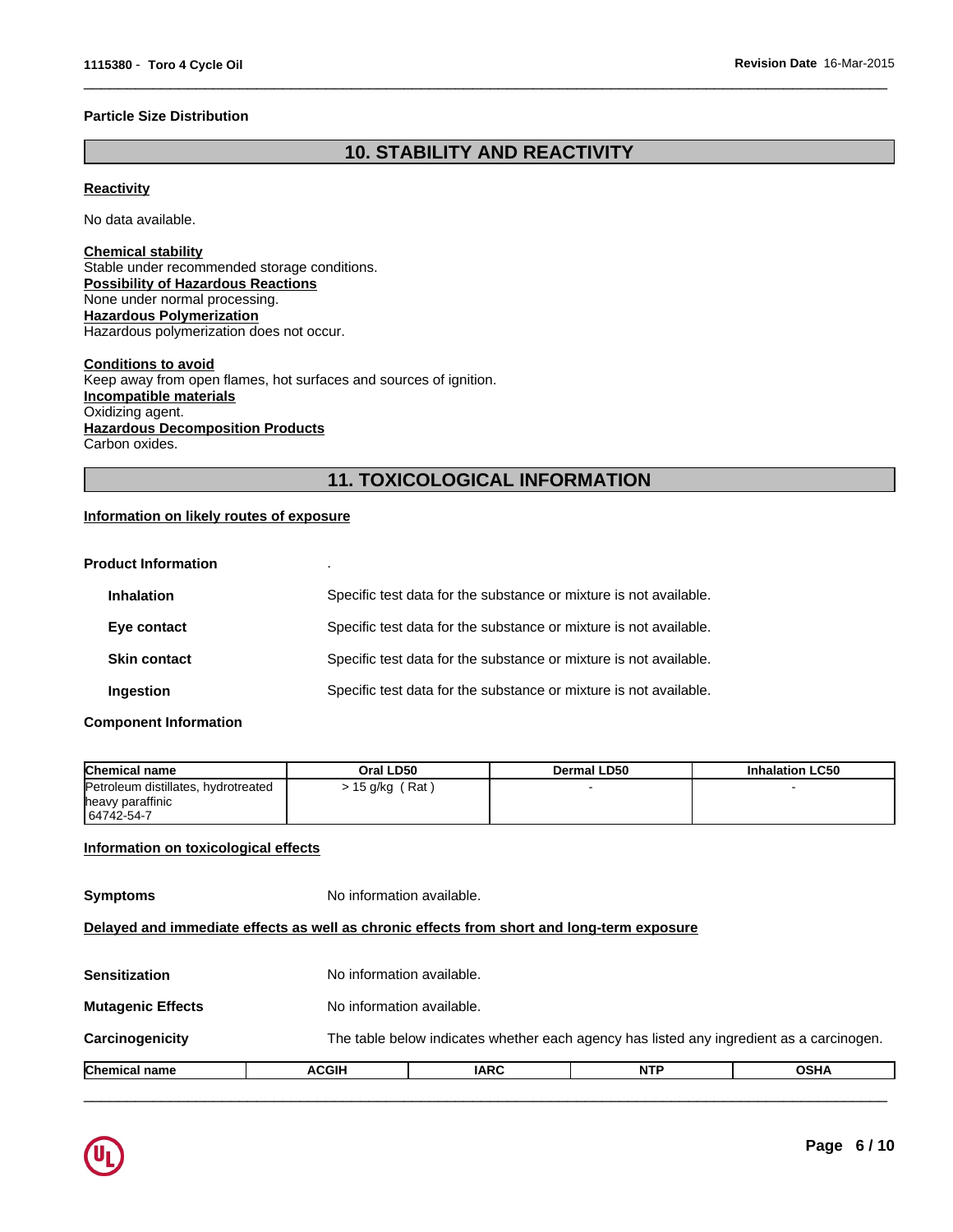#### **Particle Size Distribution**

# **10. STABILITY AND REACTIVITY**

 $\overline{\phantom{a}}$  ,  $\overline{\phantom{a}}$  ,  $\overline{\phantom{a}}$  ,  $\overline{\phantom{a}}$  ,  $\overline{\phantom{a}}$  ,  $\overline{\phantom{a}}$  ,  $\overline{\phantom{a}}$  ,  $\overline{\phantom{a}}$  ,  $\overline{\phantom{a}}$  ,  $\overline{\phantom{a}}$  ,  $\overline{\phantom{a}}$  ,  $\overline{\phantom{a}}$  ,  $\overline{\phantom{a}}$  ,  $\overline{\phantom{a}}$  ,  $\overline{\phantom{a}}$  ,  $\overline{\phantom{a}}$ 

### **Reactivity**

No data available.

#### **Chemical stability** Stable under recommended storage conditions. **Possibility of Hazardous Reactions** None under normal processing. **Hazardous Polymerization** Hazardous polymerization does not occur.

**Conditions to avoid** Keep away from open flames, hot surfaces and sources of ignition. **Incompatible materials** Oxidizing agent. **Hazardous Decomposition Products** Carbon oxides.

# **11. TOXICOLOGICAL INFORMATION**

### **Information on likely routes of exposure**

| <b>Product Information</b> |                                                                   |
|----------------------------|-------------------------------------------------------------------|
| <b>Inhalation</b>          | Specific test data for the substance or mixture is not available. |
| Eye contact                | Specific test data for the substance or mixture is not available. |
| <b>Skin contact</b>        | Specific test data for the substance or mixture is not available. |
| Ingestion                  | Specific test data for the substance or mixture is not available. |

#### **Component Information**

| <b>Chemical name</b>                                    | Oral LD50       | Dermal LD50 | <b>Inhalation LC50</b> |
|---------------------------------------------------------|-----------------|-------------|------------------------|
| Petroleum distillates, hydrotreated<br>heavy paraffinic | ⋅ 15 g/kg (Rat) |             |                        |
| 64742-54-7                                              |                 |             |                        |

### **Information on toxicological effects**

| <b>Chemical name</b>     | <b>ACGIH</b>                                                                               | <b>IARC</b>               | <b>NTP</b> | <b>OSHA</b>                                                                              |  |
|--------------------------|--------------------------------------------------------------------------------------------|---------------------------|------------|------------------------------------------------------------------------------------------|--|
| <b>Carcinogenicity</b>   |                                                                                            |                           |            | The table below indicates whether each agency has listed any ingredient as a carcinogen. |  |
| <b>Mutagenic Effects</b> | No information available.                                                                  |                           |            |                                                                                          |  |
| Sensitization            |                                                                                            | No information available. |            |                                                                                          |  |
|                          | Delayed and immediate effects as well as chronic effects from short and long-term exposure |                           |            |                                                                                          |  |
| <b>Symptoms</b>          | No information available.                                                                  |                           |            |                                                                                          |  |

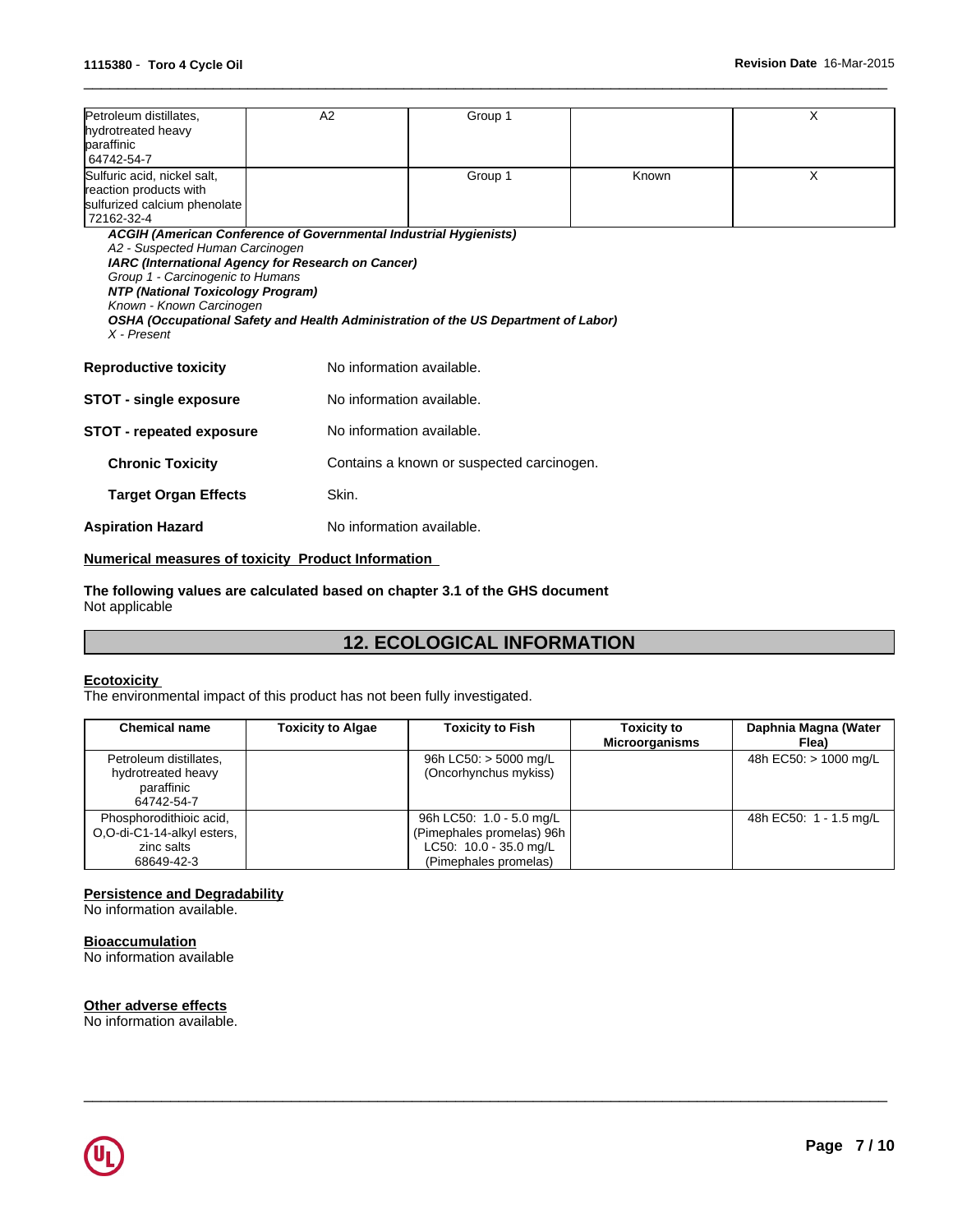| Petroleum distillates,<br>hydrotreated heavy<br>paraffinic<br>64742-54-7                                                                                                                                                                                                                                                                                             | A2                                        | Group 1                   |       | X |  |  |
|----------------------------------------------------------------------------------------------------------------------------------------------------------------------------------------------------------------------------------------------------------------------------------------------------------------------------------------------------------------------|-------------------------------------------|---------------------------|-------|---|--|--|
| Sulfuric acid, nickel salt,<br>reaction products with<br>sulfurized calcium phenolate<br>72162-32-4                                                                                                                                                                                                                                                                  |                                           | Group 1                   | Known | X |  |  |
| ACGIH (American Conference of Governmental Industrial Hygienists)<br>A2 - Suspected Human Carcinogen<br>IARC (International Agency for Research on Cancer)<br>Group 1 - Carcinogenic to Humans<br>NTP (National Toxicology Program)<br>Known - Known Carcinogen<br>OSHA (Occupational Safety and Health Administration of the US Department of Labor)<br>X - Present |                                           |                           |       |   |  |  |
| <b>Reproductive toxicity</b>                                                                                                                                                                                                                                                                                                                                         | No information available.                 |                           |       |   |  |  |
| No information available.<br><b>STOT - single exposure</b>                                                                                                                                                                                                                                                                                                           |                                           |                           |       |   |  |  |
| <b>STOT - repeated exposure</b>                                                                                                                                                                                                                                                                                                                                      |                                           | No information available. |       |   |  |  |
| <b>Chronic Toxicity</b>                                                                                                                                                                                                                                                                                                                                              | Contains a known or suspected carcinogen. |                           |       |   |  |  |
| <b>Target Organ Effects</b>                                                                                                                                                                                                                                                                                                                                          | Skin.                                     |                           |       |   |  |  |
| <b>Aspiration Hazard</b>                                                                                                                                                                                                                                                                                                                                             |                                           | No information available. |       |   |  |  |
|                                                                                                                                                                                                                                                                                                                                                                      |                                           |                           |       |   |  |  |

 $\overline{\phantom{a}}$  ,  $\overline{\phantom{a}}$  ,  $\overline{\phantom{a}}$  ,  $\overline{\phantom{a}}$  ,  $\overline{\phantom{a}}$  ,  $\overline{\phantom{a}}$  ,  $\overline{\phantom{a}}$  ,  $\overline{\phantom{a}}$  ,  $\overline{\phantom{a}}$  ,  $\overline{\phantom{a}}$  ,  $\overline{\phantom{a}}$  ,  $\overline{\phantom{a}}$  ,  $\overline{\phantom{a}}$  ,  $\overline{\phantom{a}}$  ,  $\overline{\phantom{a}}$  ,  $\overline{\phantom{a}}$ 

### **Numerical measures of toxicity Product Information**

**The following values are calculated based on chapter 3.1 of the GHS document** Not applicable

# **12. ECOLOGICAL INFORMATION**

#### **Ecotoxicity**

The environmental impact of this product has not been fully investigated.

| <b>Chemical name</b>                                                              | <b>Toxicity to Algae</b> | <b>Toxicity to Fish</b>                                                                                      | <b>Toxicity to</b><br>Microorganisms | Daphnia Magna (Water<br>Flea) |
|-----------------------------------------------------------------------------------|--------------------------|--------------------------------------------------------------------------------------------------------------|--------------------------------------|-------------------------------|
| Petroleum distillates,<br>hydrotreated heavy<br>paraffinic<br>64742-54-7          |                          | 96h LC50: > 5000 mg/L<br>(Oncorhynchus mykiss)                                                               |                                      | 48h EC50: > 1000 mg/L         |
| Phosphorodithioic acid,<br>O,O-di-C1-14-alkyl esters,<br>zinc salts<br>68649-42-3 |                          | 96h LC50: 1.0 - 5.0 mg/L<br>(Pimephales promelas) 96h  <br>LC50: $10.0 - 35.0$ mg/L<br>(Pimephales promelas) |                                      | 48h EC50: 1 - 1.5 mg/L        |

 $\overline{\phantom{a}}$  ,  $\overline{\phantom{a}}$  ,  $\overline{\phantom{a}}$  ,  $\overline{\phantom{a}}$  ,  $\overline{\phantom{a}}$  ,  $\overline{\phantom{a}}$  ,  $\overline{\phantom{a}}$  ,  $\overline{\phantom{a}}$  ,  $\overline{\phantom{a}}$  ,  $\overline{\phantom{a}}$  ,  $\overline{\phantom{a}}$  ,  $\overline{\phantom{a}}$  ,  $\overline{\phantom{a}}$  ,  $\overline{\phantom{a}}$  ,  $\overline{\phantom{a}}$  ,  $\overline{\phantom{a}}$ 

#### **Persistence and Degradability**

No information available.

**Bioaccumulation** No information available

#### **Other adverse effects**

No information available.

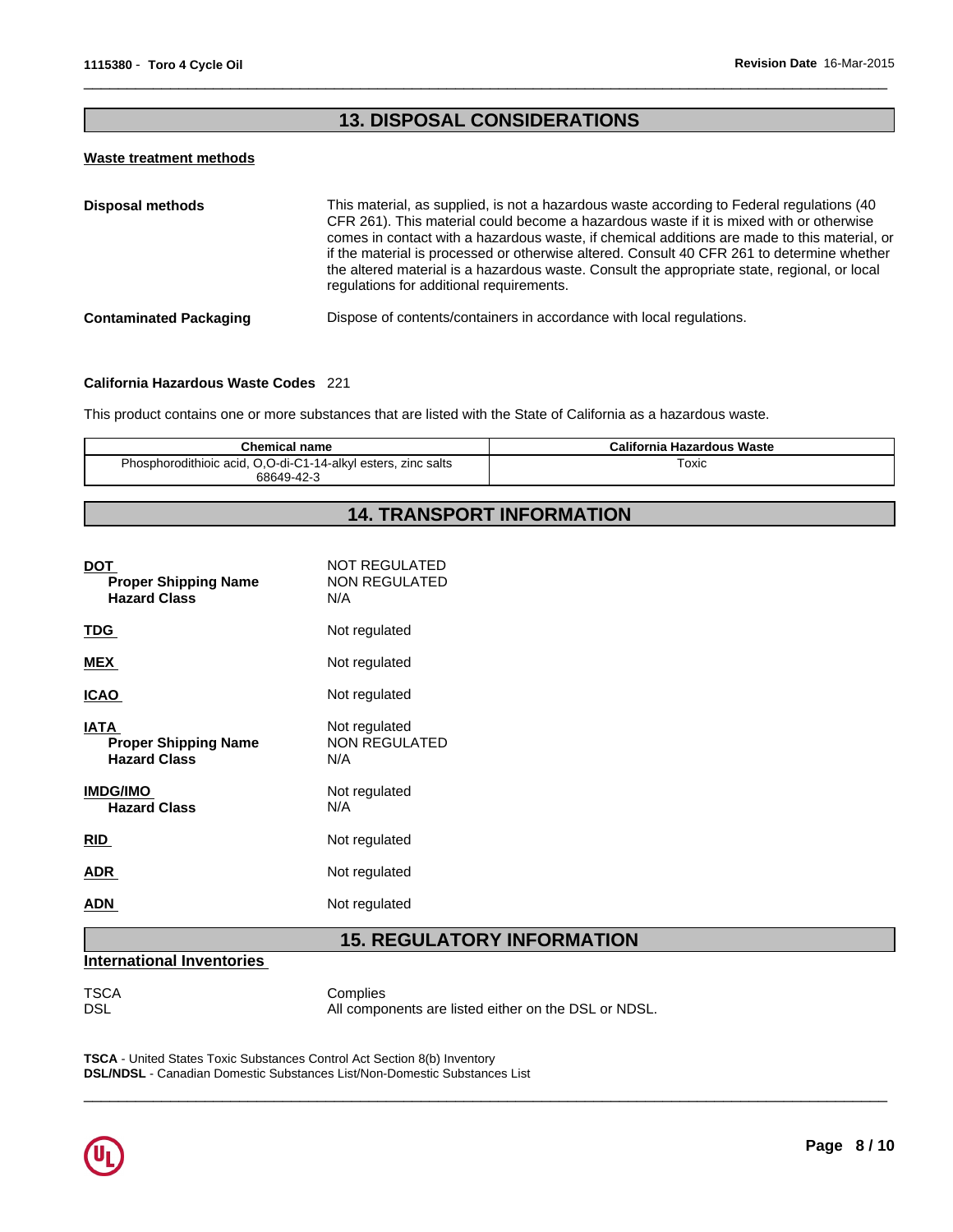# **13. DISPOSAL CONSIDERATIONS**

 $\overline{\phantom{a}}$  ,  $\overline{\phantom{a}}$  ,  $\overline{\phantom{a}}$  ,  $\overline{\phantom{a}}$  ,  $\overline{\phantom{a}}$  ,  $\overline{\phantom{a}}$  ,  $\overline{\phantom{a}}$  ,  $\overline{\phantom{a}}$  ,  $\overline{\phantom{a}}$  ,  $\overline{\phantom{a}}$  ,  $\overline{\phantom{a}}$  ,  $\overline{\phantom{a}}$  ,  $\overline{\phantom{a}}$  ,  $\overline{\phantom{a}}$  ,  $\overline{\phantom{a}}$  ,  $\overline{\phantom{a}}$ 

#### **Waste treatment methods**

| <b>Disposal methods</b>       | This material, as supplied, is not a hazardous waste according to Federal regulations (40<br>CFR 261). This material could become a hazardous waste if it is mixed with or otherwise<br>comes in contact with a hazardous waste, if chemical additions are made to this material, or<br>if the material is processed or otherwise altered. Consult 40 CFR 261 to determine whether<br>the altered material is a hazardous waste. Consult the appropriate state, regional, or local<br>regulations for additional requirements. |
|-------------------------------|--------------------------------------------------------------------------------------------------------------------------------------------------------------------------------------------------------------------------------------------------------------------------------------------------------------------------------------------------------------------------------------------------------------------------------------------------------------------------------------------------------------------------------|
| <b>Contaminated Packaging</b> | Dispose of contents/containers in accordance with local regulations.                                                                                                                                                                                                                                                                                                                                                                                                                                                           |

#### **California Hazardous Waste Codes** 221

This product contains one or more substances that are listed with the State of California as a hazardous waste.

| Chemical name                                                 | <b>California Hazardous Waste</b> |
|---------------------------------------------------------------|-----------------------------------|
| Phosphorodithioic acid, O,O-di-C1-14-alkyl esters, zinc salts | ™oxic                             |
| 68649-42-3                                                    |                                   |

# **14. TRANSPORT INFORMATION**

| <b>DOT</b><br><b>Proper Shipping Name</b><br><b>Hazard Class</b>  | <b>NOT REGULATED</b><br><b>NON REGULATED</b><br>N/A |
|-------------------------------------------------------------------|-----------------------------------------------------|
| <u>TDG</u>                                                        | Not regulated                                       |
| MEX                                                               | Not regulated                                       |
| <u>ICAO</u>                                                       | Not regulated                                       |
| <b>IATA</b><br><b>Proper Shipping Name</b><br><b>Hazard Class</b> | Not regulated<br><b>NON REGULATED</b><br>N/A        |
| <b>IMDG/IMO</b><br><b>Hazard Class</b>                            | Not regulated<br>N/A                                |
| <b>RID</b>                                                        | Not regulated                                       |
| <b>ADR</b>                                                        | Not regulated                                       |
| ADN                                                               | Not regulated                                       |

# **15. REGULATORY INFORMATION**

# **International Inventories**

TSCA Complies<br>DSL All compo All components are listed either on the DSL or NDSL.

 $\overline{\phantom{a}}$  ,  $\overline{\phantom{a}}$  ,  $\overline{\phantom{a}}$  ,  $\overline{\phantom{a}}$  ,  $\overline{\phantom{a}}$  ,  $\overline{\phantom{a}}$  ,  $\overline{\phantom{a}}$  ,  $\overline{\phantom{a}}$  ,  $\overline{\phantom{a}}$  ,  $\overline{\phantom{a}}$  ,  $\overline{\phantom{a}}$  ,  $\overline{\phantom{a}}$  ,  $\overline{\phantom{a}}$  ,  $\overline{\phantom{a}}$  ,  $\overline{\phantom{a}}$  ,  $\overline{\phantom{a}}$ 

**TSCA** - United States Toxic Substances Control Act Section 8(b) Inventory **DSL/NDSL** - Canadian Domestic Substances List/Non-Domestic Substances List

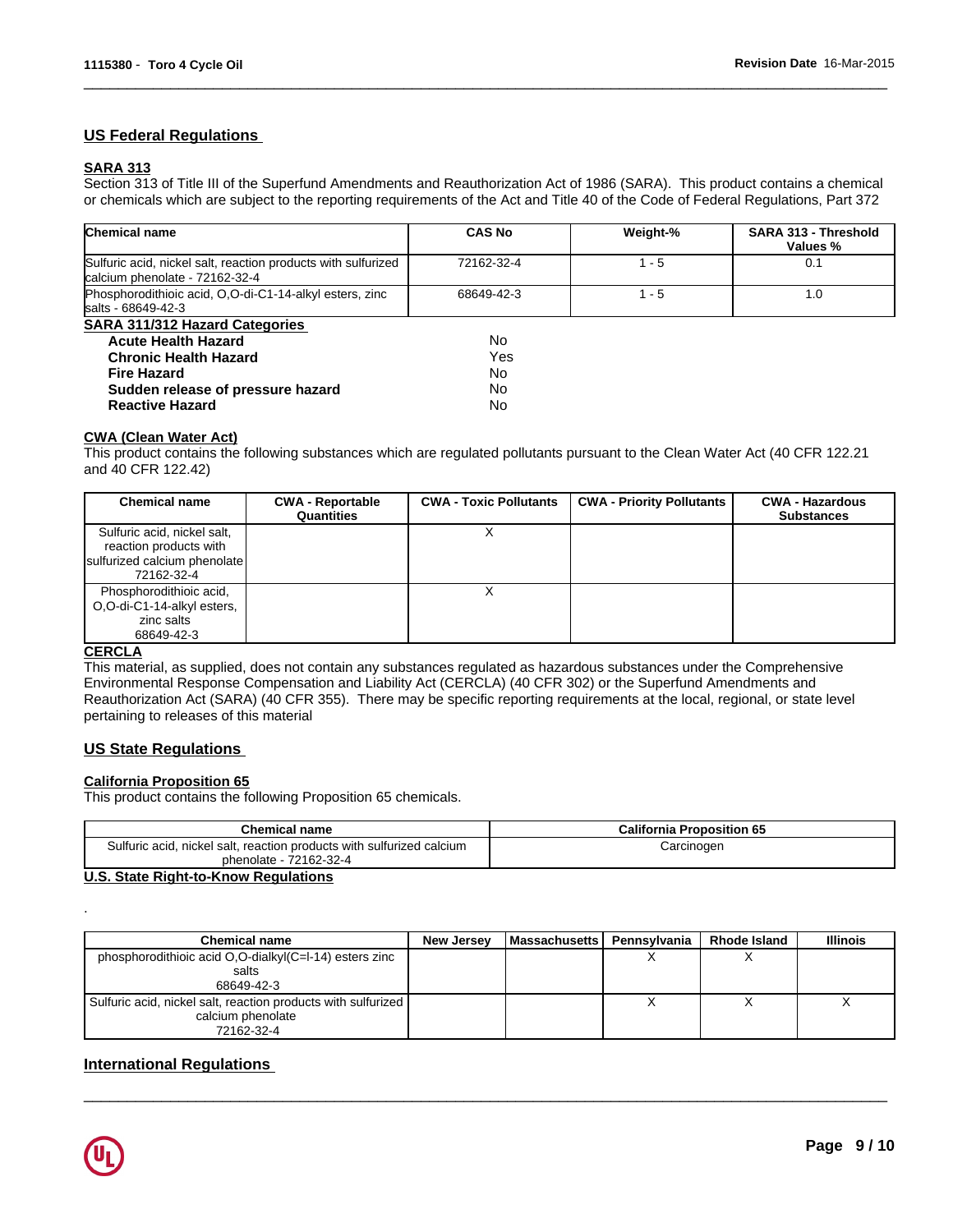# **US Federal Regulations**

### **SARA 313**

Section 313 of Title III of the Superfund Amendments and Reauthorization Act of 1986 (SARA). This product contains a chemical or chemicals which are subject to the reporting requirements of the Act and Title 40 of the Code of Federal Regulations, Part 372

 $\overline{\phantom{a}}$  ,  $\overline{\phantom{a}}$  ,  $\overline{\phantom{a}}$  ,  $\overline{\phantom{a}}$  ,  $\overline{\phantom{a}}$  ,  $\overline{\phantom{a}}$  ,  $\overline{\phantom{a}}$  ,  $\overline{\phantom{a}}$  ,  $\overline{\phantom{a}}$  ,  $\overline{\phantom{a}}$  ,  $\overline{\phantom{a}}$  ,  $\overline{\phantom{a}}$  ,  $\overline{\phantom{a}}$  ,  $\overline{\phantom{a}}$  ,  $\overline{\phantom{a}}$  ,  $\overline{\phantom{a}}$ 

| <b>Chemical name</b>                                                                            | <b>CAS No</b> | Weight-% | <b>SARA 313 - Threshold</b><br>Values % |
|-------------------------------------------------------------------------------------------------|---------------|----------|-----------------------------------------|
| Sulfuric acid, nickel salt, reaction products with sulfurized<br>calcium phenolate - 72162-32-4 | 72162-32-4    | - 5      | 0.1                                     |
| Phosphorodithioic acid, O.O-di-C1-14-alkyl esters, zinc<br>salts - 68649-42-3                   | 68649-42-3    | l - 5    | 1.0                                     |
| <b>SARA 311/312 Hazard Categories</b>                                                           |               |          |                                         |
| <b>Acute Health Hazard</b>                                                                      | No            |          |                                         |
| <b>Chronic Health Hazard</b>                                                                    | Yes           |          |                                         |
| Fire Hazard                                                                                     | No            |          |                                         |
| Sudden release of pressure hazard                                                               | No            |          |                                         |
| <b>Reactive Hazard</b>                                                                          | No            |          |                                         |

#### **CWA (Clean Water Act)**

This product contains the following substances which are regulated pollutants pursuant to the Clean Water Act (40 CFR 122.21 and 40 CFR 122.42)

| <b>Chemical name</b>                                                                                | <b>CWA - Reportable</b><br>Quantities | <b>CWA - Toxic Pollutants</b> | <b>CWA - Priority Pollutants</b> | <b>CWA - Hazardous</b><br><b>Substances</b> |
|-----------------------------------------------------------------------------------------------------|---------------------------------------|-------------------------------|----------------------------------|---------------------------------------------|
| Sulfuric acid, nickel salt,<br>reaction products with<br>sulfurized calcium phenolate<br>72162-32-4 |                                       |                               |                                  |                                             |
| Phosphorodithioic acid,<br>O,O-di-C1-14-alkyl esters,<br>zinc salts<br>68649-42-3                   |                                       |                               |                                  |                                             |

#### **CERCLA**

.

This material, as supplied, does not contain any substances regulated as hazardous substances under the Comprehensive Environmental Response Compensation and Liability Act (CERCLA) (40 CFR 302) or the Superfund Amendments and Reauthorization Act (SARA) (40 CFR 355). There may be specific reporting requirements at the local, regional, or state level pertaining to releases of this material

# **US State Regulations**

#### **California Proposition 65**

This product contains the following Proposition 65 chemicals.

| <b>Chemical name</b>                                                  | <b>California Proposition 65</b> |
|-----------------------------------------------------------------------|----------------------------------|
| Sulfuric acid, nickel salt, reaction products with sulfurized calcium | Carcinogen                       |
| phenolate - 72162-32-4                                                |                                  |

### **U.S. State Right-to-Know Regulations**

| Chemical name                                                 | New Jersey | l Massachusetts I | Pennsylvania | <b>Rhode Island</b> | <b>Illinois</b> |
|---------------------------------------------------------------|------------|-------------------|--------------|---------------------|-----------------|
| phosphorodithioic acid O,O-dialkyl(C=I-14) esters zinc        |            |                   |              |                     |                 |
| salts                                                         |            |                   |              |                     |                 |
| 68649-42-3                                                    |            |                   |              |                     |                 |
| Sulfuric acid, nickel salt, reaction products with sulfurized |            |                   |              |                     |                 |
| calcium phenolate                                             |            |                   |              |                     |                 |
| 72162-32-4                                                    |            |                   |              |                     |                 |

 $\overline{\phantom{a}}$  ,  $\overline{\phantom{a}}$  ,  $\overline{\phantom{a}}$  ,  $\overline{\phantom{a}}$  ,  $\overline{\phantom{a}}$  ,  $\overline{\phantom{a}}$  ,  $\overline{\phantom{a}}$  ,  $\overline{\phantom{a}}$  ,  $\overline{\phantom{a}}$  ,  $\overline{\phantom{a}}$  ,  $\overline{\phantom{a}}$  ,  $\overline{\phantom{a}}$  ,  $\overline{\phantom{a}}$  ,  $\overline{\phantom{a}}$  ,  $\overline{\phantom{a}}$  ,  $\overline{\phantom{a}}$ 

# **International Regulations**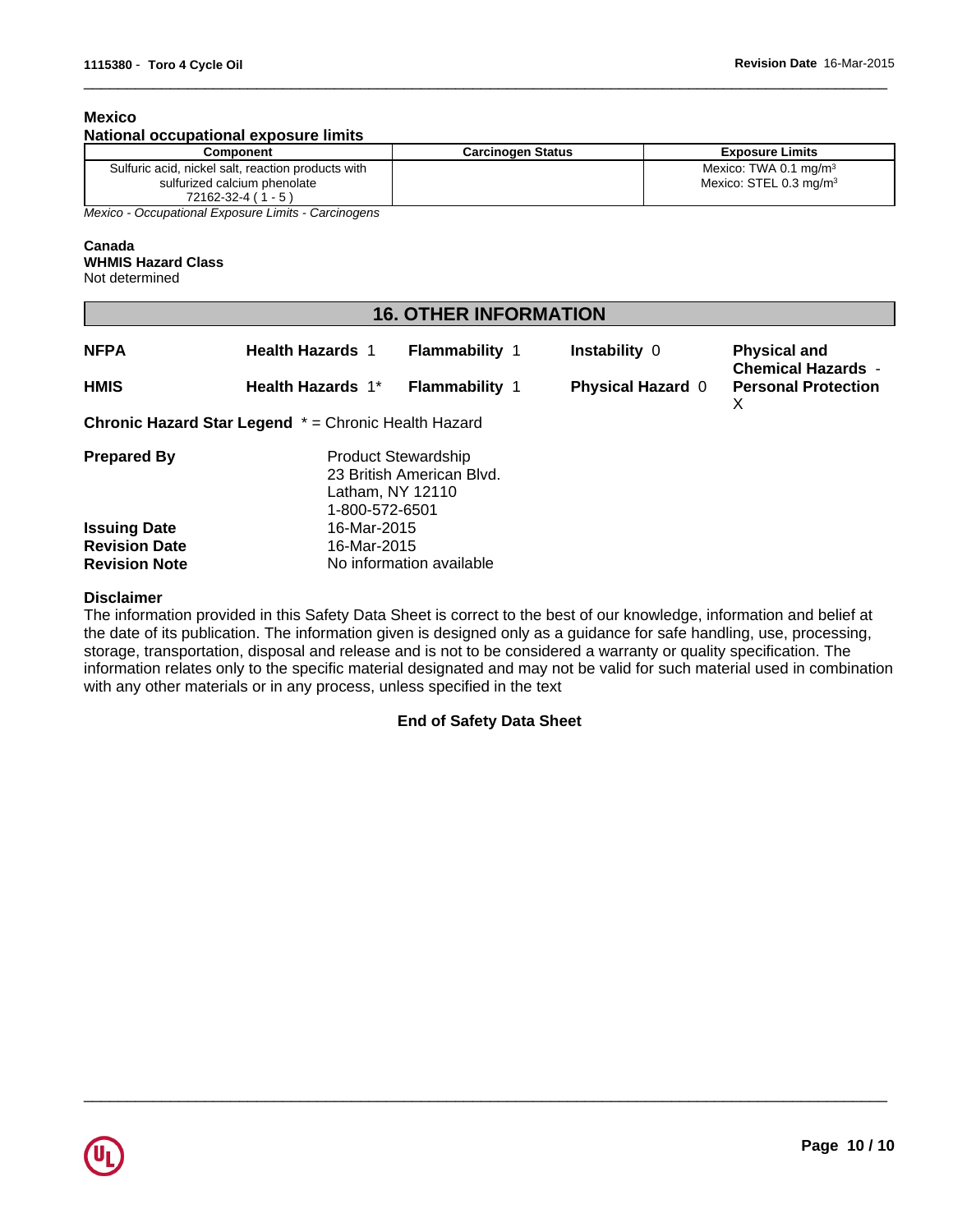### **Mexico**

#### **National occupational exposure limits**

| Component                                           | <b>Carcinogen Status</b> | <b>Exposure Limits</b>             |
|-----------------------------------------------------|--------------------------|------------------------------------|
| Sulfuric acid, nickel salt, reaction products with  |                          | Mexico: TWA 0.1 mg/m $3$           |
| sulfurized calcium phenolate                        |                          | Mexico: STEL 0.3 mg/m <sup>3</sup> |
| $72162 - 32 - 4 (1 - 5)$                            |                          |                                    |
| Mexico - Occupational Exposure Limits - Carcinogens |                          |                                    |

 $\overline{\phantom{a}}$  ,  $\overline{\phantom{a}}$  ,  $\overline{\phantom{a}}$  ,  $\overline{\phantom{a}}$  ,  $\overline{\phantom{a}}$  ,  $\overline{\phantom{a}}$  ,  $\overline{\phantom{a}}$  ,  $\overline{\phantom{a}}$  ,  $\overline{\phantom{a}}$  ,  $\overline{\phantom{a}}$  ,  $\overline{\phantom{a}}$  ,  $\overline{\phantom{a}}$  ,  $\overline{\phantom{a}}$  ,  $\overline{\phantom{a}}$  ,  $\overline{\phantom{a}}$  ,  $\overline{\phantom{a}}$ 

*Mexico - Occupational Exposure Limits - Carcinogens*

#### **Canada**

#### **WHMIS Hazard Class**

Not determined

| <b>16. OTHER INFORMATION</b> |
|------------------------------|
|------------------------------|

| <b>NFPA</b>          | <b>Health Hazards 1</b>                                     | Flammability 1                                          | <b>Instability 0</b>     | <b>Physical and</b><br><b>Chemical Hazards -</b> |
|----------------------|-------------------------------------------------------------|---------------------------------------------------------|--------------------------|--------------------------------------------------|
| <b>HMIS</b>          | Health Hazards 1*                                           | <b>Flammability 1</b>                                   | <b>Physical Hazard 0</b> | <b>Personal Protection</b><br>X                  |
|                      | <b>Chronic Hazard Star Legend</b> * = Chronic Health Hazard |                                                         |                          |                                                  |
| <b>Prepared By</b>   | Latham, NY 12110<br>1-800-572-6501                          | <b>Product Stewardship</b><br>23 British American Blvd. |                          |                                                  |
| <b>Issuing Date</b>  | 16-Mar-2015                                                 |                                                         |                          |                                                  |
| <b>Revision Date</b> | 16-Mar-2015                                                 |                                                         |                          |                                                  |
| <b>Revision Note</b> |                                                             | No information available                                |                          |                                                  |

#### **Disclaimer**

The information provided in this Safety Data Sheet is correct to the best of our knowledge, information and belief at the date of its publication. The information given is designed only as a guidance for safe handling, use, processing, storage, transportation, disposal and release and is not to be considered a warranty or quality specification. The information relates only to the specific material designated and may not be valid for such material used in combination with any other materials or in any process, unless specified in the text

# **End of Safety Data Sheet**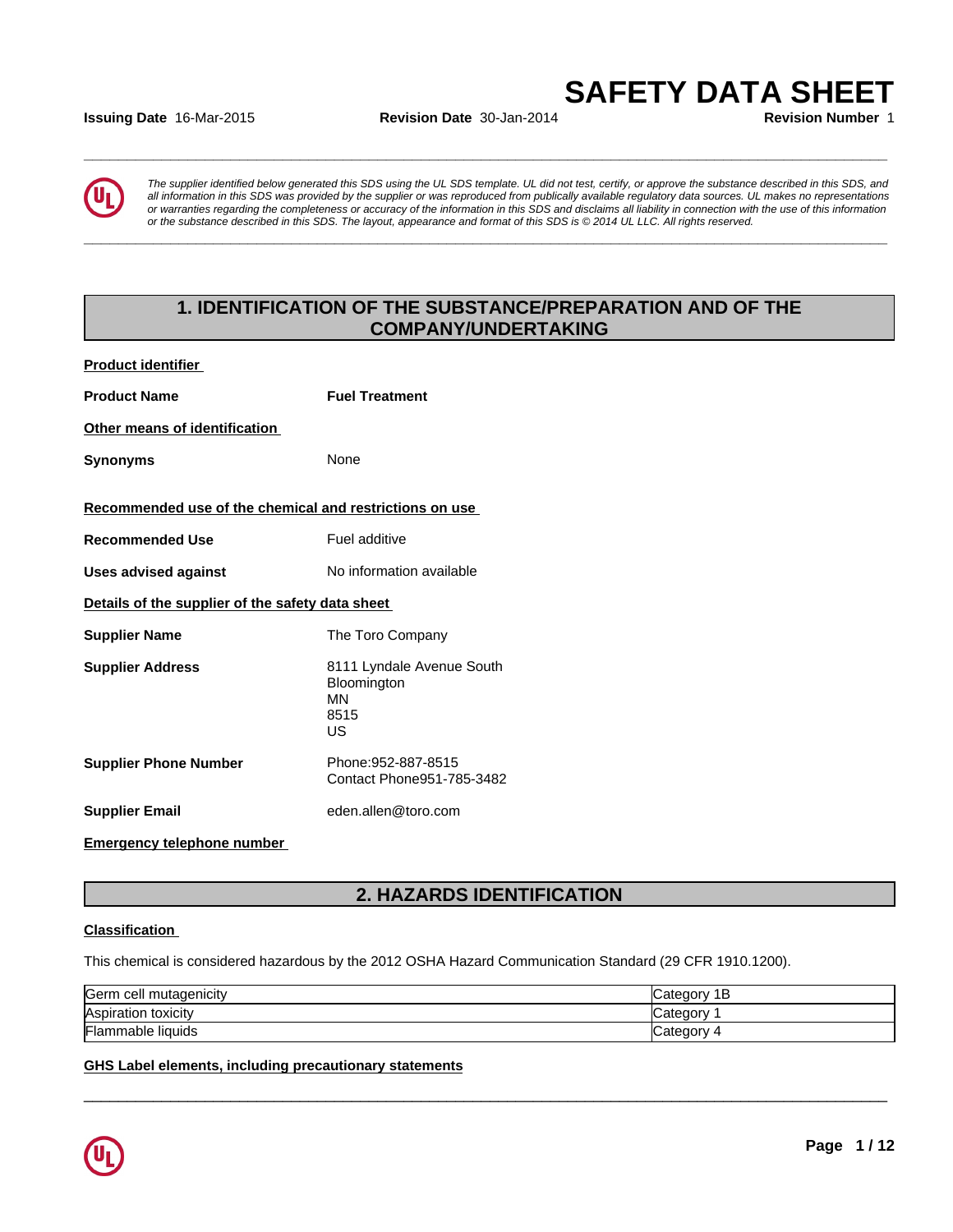# **Issuing Date** 16-Mar-2015 **Revision Date** 30-Jan-2014 **Revision Number** 1

*The supplier identified below generated this SDS using the UL SDS template. UL did not test, certify, or approve the substance described in this SDS, and all information in this SDS was provided by the supplier or was reproduced from publically available regulatory data sources. UL makes no representations or warranties regarding the completeness or accuracy of the information in this SDS and disclaims all liability in connection with the use of this information* ate 16-Mar-2015<br>
Revision Date 30-Jan-2014<br>
Revision Number 1<br>
The supplier identified below generated this SDS using the UL SDS template. UL did not test, certify, or approve the substance described in this SDS, and<br>
all

**\_\_\_\_\_\_\_\_\_\_\_\_\_\_\_\_\_\_\_\_\_\_\_\_\_\_\_\_\_\_\_\_\_\_\_\_\_\_\_\_\_\_\_\_\_\_\_\_\_\_\_\_\_\_\_\_\_\_\_\_\_\_\_\_\_\_\_\_\_\_\_\_\_\_\_\_\_\_\_\_\_\_\_\_\_\_\_\_\_\_\_\_\_**

**\_\_\_\_\_\_\_\_\_\_\_\_\_\_\_\_\_\_\_\_\_\_\_\_\_\_\_\_\_\_\_\_\_\_\_\_\_\_\_\_\_\_\_\_\_\_\_\_\_\_\_\_\_\_\_\_\_\_\_\_\_\_\_\_\_\_\_\_\_\_\_\_\_\_\_\_\_\_\_\_\_\_\_\_\_\_\_\_\_\_\_\_\_**

# **1. IDENTIFICATION OF THE SUBSTANCE/PREPARATION AND OF THE COMPANY/UNDERTAKING**

| <b>Product identifier</b>                               |                                                              |
|---------------------------------------------------------|--------------------------------------------------------------|
| <b>Product Name</b>                                     | <b>Fuel Treatment</b>                                        |
| Other means of identification                           |                                                              |
| <b>Synonyms</b>                                         | None                                                         |
| Recommended use of the chemical and restrictions on use |                                                              |
| <b>Recommended Use</b>                                  | Fuel additive                                                |
| <b>Uses advised against</b>                             | No information available                                     |
| Details of the supplier of the safety data sheet        |                                                              |
| <b>Supplier Name</b>                                    | The Toro Company                                             |
| <b>Supplier Address</b>                                 | 8111 Lyndale Avenue South<br>Bloomington<br>ΜN<br>8515<br>US |
| <b>Supplier Phone Number</b>                            | Phone: 952-887-8515<br>Contact Phone951-785-3482             |
| <b>Supplier Email</b>                                   | eden.allen@toro.com                                          |
|                                                         |                                                              |

# **Emergency telephone number**

# **2. HAZARDS IDENTIFICATION**

#### **Classification**

This chemical is considered hazardous by the 2012 OSHA Hazard Communication Standard (29 CFR 1910.1200).

| <b>Serm</b><br>⊦cell mutaɑenicitv | 1В<br>−ategor |
|-----------------------------------|---------------|
| Aspiration toxicity               | ∶ateɑorv      |
| <b>Flammable liquids</b>          | 4 ategoryـ    |

 $\overline{\phantom{a}}$  ,  $\overline{\phantom{a}}$  ,  $\overline{\phantom{a}}$  ,  $\overline{\phantom{a}}$  ,  $\overline{\phantom{a}}$  ,  $\overline{\phantom{a}}$  ,  $\overline{\phantom{a}}$  ,  $\overline{\phantom{a}}$  ,  $\overline{\phantom{a}}$  ,  $\overline{\phantom{a}}$  ,  $\overline{\phantom{a}}$  ,  $\overline{\phantom{a}}$  ,  $\overline{\phantom{a}}$  ,  $\overline{\phantom{a}}$  ,  $\overline{\phantom{a}}$  ,  $\overline{\phantom{a}}$ 

#### **GHS Label elements, including precautionary statements**

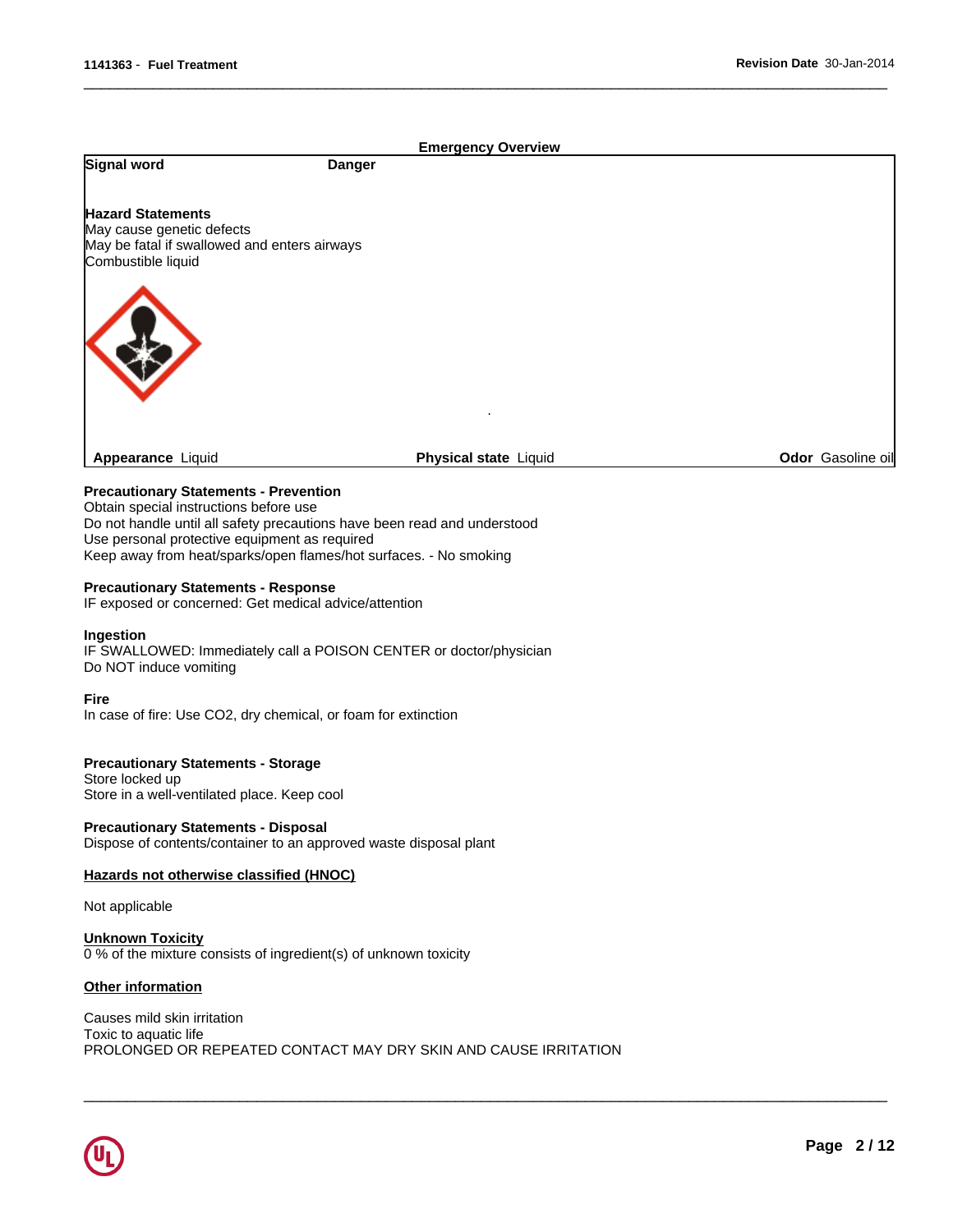|                                                                                                                             |               | <b>Emergency Overview</b>    |                   |
|-----------------------------------------------------------------------------------------------------------------------------|---------------|------------------------------|-------------------|
| Signal word                                                                                                                 | <b>Danger</b> |                              |                   |
| <b>Hazard Statements</b><br>May cause genetic defects<br>May be fatal if swallowed and enters airways<br>Combustible liquid |               |                              |                   |
|                                                                                                                             |               |                              |                   |
| <b>Appearance Liquid</b>                                                                                                    |               | <b>Physical state Liquid</b> | Odor Gasoline oil |
| <b>Precautionary Statements - Prevention</b>                                                                                |               |                              |                   |

 $\overline{\phantom{a}}$  ,  $\overline{\phantom{a}}$  ,  $\overline{\phantom{a}}$  ,  $\overline{\phantom{a}}$  ,  $\overline{\phantom{a}}$  ,  $\overline{\phantom{a}}$  ,  $\overline{\phantom{a}}$  ,  $\overline{\phantom{a}}$  ,  $\overline{\phantom{a}}$  ,  $\overline{\phantom{a}}$  ,  $\overline{\phantom{a}}$  ,  $\overline{\phantom{a}}$  ,  $\overline{\phantom{a}}$  ,  $\overline{\phantom{a}}$  ,  $\overline{\phantom{a}}$  ,  $\overline{\phantom{a}}$ 

 $\overline{\phantom{a}}$  ,  $\overline{\phantom{a}}$  ,  $\overline{\phantom{a}}$  ,  $\overline{\phantom{a}}$  ,  $\overline{\phantom{a}}$  ,  $\overline{\phantom{a}}$  ,  $\overline{\phantom{a}}$  ,  $\overline{\phantom{a}}$  ,  $\overline{\phantom{a}}$  ,  $\overline{\phantom{a}}$  ,  $\overline{\phantom{a}}$  ,  $\overline{\phantom{a}}$  ,  $\overline{\phantom{a}}$  ,  $\overline{\phantom{a}}$  ,  $\overline{\phantom{a}}$  ,  $\overline{\phantom{a}}$ 

Obtain special instructions before use Do not handle until all safety precautions have been read and understood Use personal protective equipment as required Keep away from heat/sparks/open flames/hot surfaces. - No smoking

#### **Precautionary Statements - Response**

IF exposed or concerned: Get medical advice/attention

#### **Ingestion**

IF SWALLOWED: Immediately call a POISON CENTER or doctor/physician Do NOT induce vomiting

#### **Fire**

In case of fire: Use CO2, dry chemical, or foam for extinction

#### **Precautionary Statements - Storage**

Store locked up Store in a well-ventilated place. Keep cool

**Precautionary Statements - Disposal** Dispose of contents/container to an approved waste disposal plant

#### **Hazards not otherwise classified (HNOC)**

Not applicable

**Unknown Toxicity** 0 % of the mixture consists of ingredient(s) of unknown toxicity

#### **Other information**

Causes mild skin irritation Toxic to aquatic life PROLONGED OR REPEATED CONTACT MAY DRY SKIN AND CAUSE IRRITATION

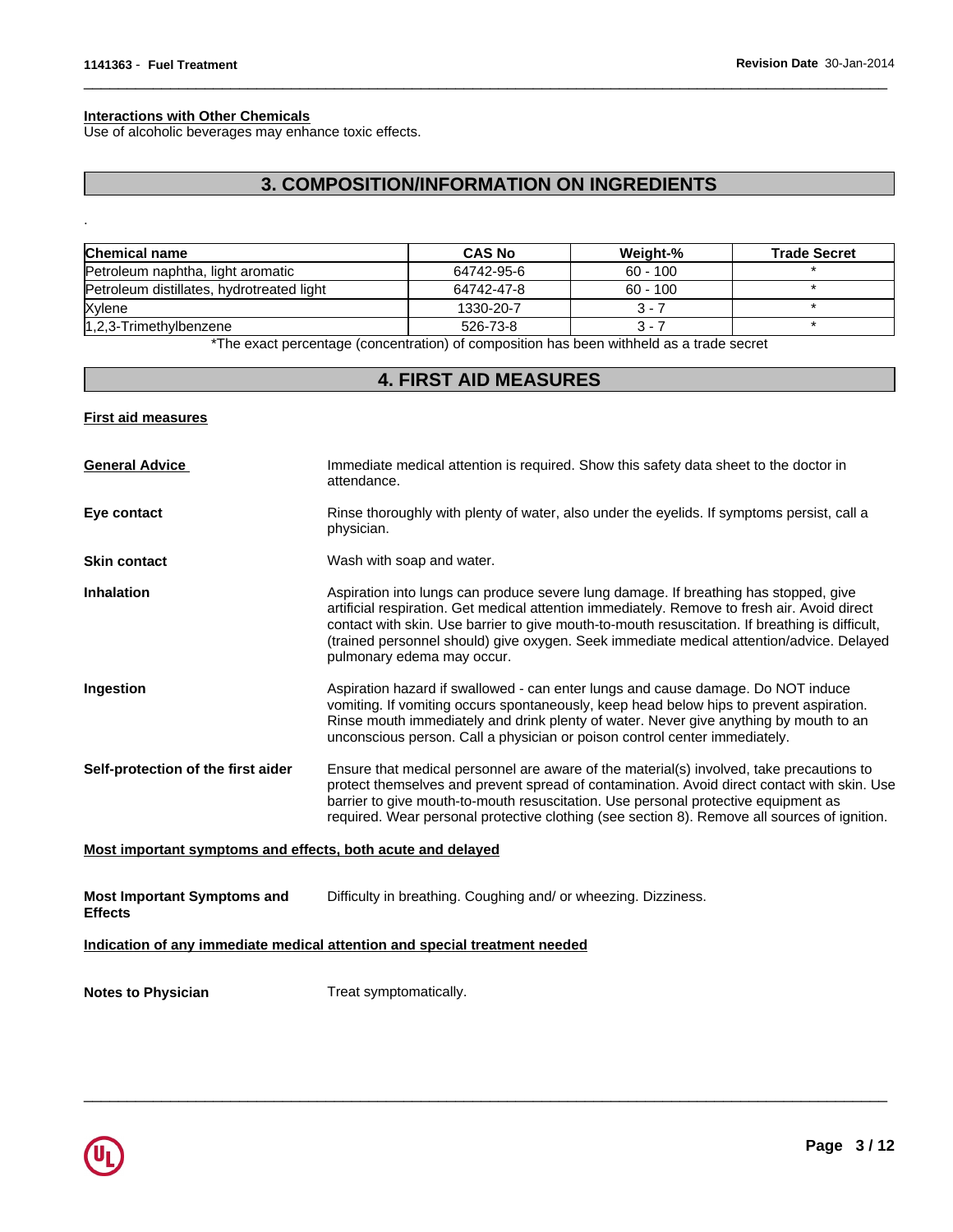#### **Interactions with Other Chemicals**

Use of alcoholic beverages may enhance toxic effects.

# **3. COMPOSITION/INFORMATION ON INGREDIENTS**

 $\overline{\phantom{a}}$  ,  $\overline{\phantom{a}}$  ,  $\overline{\phantom{a}}$  ,  $\overline{\phantom{a}}$  ,  $\overline{\phantom{a}}$  ,  $\overline{\phantom{a}}$  ,  $\overline{\phantom{a}}$  ,  $\overline{\phantom{a}}$  ,  $\overline{\phantom{a}}$  ,  $\overline{\phantom{a}}$  ,  $\overline{\phantom{a}}$  ,  $\overline{\phantom{a}}$  ,  $\overline{\phantom{a}}$  ,  $\overline{\phantom{a}}$  ,  $\overline{\phantom{a}}$  ,  $\overline{\phantom{a}}$ 

| <b>Chemical name</b>                      | <b>CAS No</b> | Weight-%   | <b>Trade Secret</b> |
|-------------------------------------------|---------------|------------|---------------------|
| Petroleum naphtha, light aromatic         | 64742-95-6    | $60 - 100$ |                     |
| Petroleum distillates, hydrotreated light | 64742-47-8    | $60 - 100$ |                     |
| Xylene                                    | 1330-20-7     | $3 - 7$    |                     |
| $ 1,2,3$ -Trimethylbenzene                | 526-73-8      | 3 - 7      |                     |

\*The exact percentage (concentration) of composition has been withheld as a trade secret

# **4. FIRST AID MEASURES**

#### **First aid measures**

.

| <b>General Advice</b>                                       | Immediate medical attention is required. Show this safety data sheet to the doctor in<br>attendance.                                                                                                                                                                                                                                                                                                              |
|-------------------------------------------------------------|-------------------------------------------------------------------------------------------------------------------------------------------------------------------------------------------------------------------------------------------------------------------------------------------------------------------------------------------------------------------------------------------------------------------|
| Eye contact                                                 | Rinse thoroughly with plenty of water, also under the eyelids. If symptoms persist, call a<br>physician.                                                                                                                                                                                                                                                                                                          |
| <b>Skin contact</b>                                         | Wash with soap and water.                                                                                                                                                                                                                                                                                                                                                                                         |
| <b>Inhalation</b>                                           | Aspiration into lungs can produce severe lung damage. If breathing has stopped, give<br>artificial respiration. Get medical attention immediately. Remove to fresh air. Avoid direct<br>contact with skin. Use barrier to give mouth-to-mouth resuscitation. If breathing is difficult,<br>(trained personnel should) give oxygen. Seek immediate medical attention/advice. Delayed<br>pulmonary edema may occur. |
| Ingestion                                                   | Aspiration hazard if swallowed - can enter lungs and cause damage. Do NOT induce<br>vomiting. If vomiting occurs spontaneously, keep head below hips to prevent aspiration.<br>Rinse mouth immediately and drink plenty of water. Never give anything by mouth to an<br>unconscious person. Call a physician or poison control center immediately.                                                                |
| Self-protection of the first aider                          | Ensure that medical personnel are aware of the material(s) involved, take precautions to<br>protect themselves and prevent spread of contamination. Avoid direct contact with skin. Use<br>barrier to give mouth-to-mouth resuscitation. Use personal protective equipment as<br>required. Wear personal protective clothing (see section 8). Remove all sources of ignition.                                     |
| Most important symptoms and effects, both acute and delayed |                                                                                                                                                                                                                                                                                                                                                                                                                   |
| <b>Most Important Symptoms and</b><br><b>Effects</b>        | Difficulty in breathing. Coughing and/ or wheezing. Dizziness.                                                                                                                                                                                                                                                                                                                                                    |

 $\overline{\phantom{a}}$  ,  $\overline{\phantom{a}}$  ,  $\overline{\phantom{a}}$  ,  $\overline{\phantom{a}}$  ,  $\overline{\phantom{a}}$  ,  $\overline{\phantom{a}}$  ,  $\overline{\phantom{a}}$  ,  $\overline{\phantom{a}}$  ,  $\overline{\phantom{a}}$  ,  $\overline{\phantom{a}}$  ,  $\overline{\phantom{a}}$  ,  $\overline{\phantom{a}}$  ,  $\overline{\phantom{a}}$  ,  $\overline{\phantom{a}}$  ,  $\overline{\phantom{a}}$  ,  $\overline{\phantom{a}}$ 

### **Indication of any immediate medical attention and special treatment needed**

**Notes to Physician** Treat symptomatically.

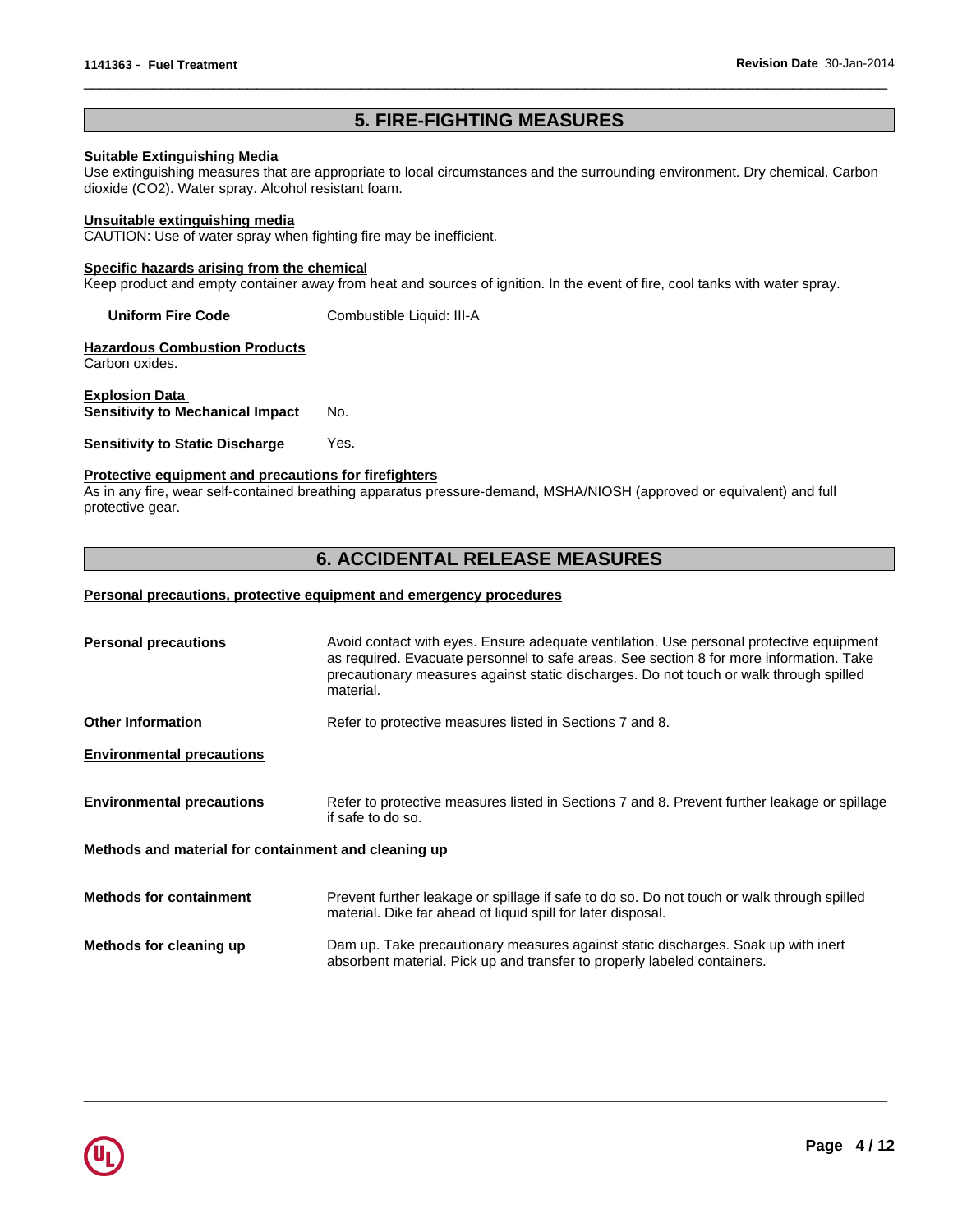# **5. FIRE-FIGHTING MEASURES**

 $\overline{\phantom{a}}$  ,  $\overline{\phantom{a}}$  ,  $\overline{\phantom{a}}$  ,  $\overline{\phantom{a}}$  ,  $\overline{\phantom{a}}$  ,  $\overline{\phantom{a}}$  ,  $\overline{\phantom{a}}$  ,  $\overline{\phantom{a}}$  ,  $\overline{\phantom{a}}$  ,  $\overline{\phantom{a}}$  ,  $\overline{\phantom{a}}$  ,  $\overline{\phantom{a}}$  ,  $\overline{\phantom{a}}$  ,  $\overline{\phantom{a}}$  ,  $\overline{\phantom{a}}$  ,  $\overline{\phantom{a}}$ 

### **Suitable Extinguishing Media**

Use extinguishing measures that are appropriate to local circumstances and the surrounding environment. Dry chemical. Carbon dioxide (CO2). Water spray. Alcohol resistant foam.

#### **Unsuitable extinguishing media**

CAUTION: Use of water spray when fighting fire may be inefficient.

#### **Specific hazards arising from the chemical**

Keep product and empty container away from heat and sources of ignition. In the event of fire, cool tanks with water spray.

**Uniform Fire Code** Combustible Liquid: III-A

**Hazardous Combustion Products** Carbon oxides.

**Explosion Data Sensitivity to Mechanical Impact** No.

**Sensitivity to Static Discharge Yes.** 

#### **Protective equipment and precautions for firefighters**

As in any fire, wear self-contained breathing apparatus pressure-demand, MSHA/NIOSH (approved or equivalent) and full protective gear.

# **6. ACCIDENTAL RELEASE MEASURES**

#### **Personal precautions, protective equipment and emergency procedures**

| <b>Personal precautions</b>                          | Avoid contact with eyes. Ensure adequate ventilation. Use personal protective equipment<br>as required. Evacuate personnel to safe areas. See section 8 for more information. Take<br>precautionary measures against static discharges. Do not touch or walk through spilled<br>material. |  |  |
|------------------------------------------------------|-------------------------------------------------------------------------------------------------------------------------------------------------------------------------------------------------------------------------------------------------------------------------------------------|--|--|
| <b>Other Information</b>                             | Refer to protective measures listed in Sections 7 and 8.                                                                                                                                                                                                                                  |  |  |
| <b>Environmental precautions</b>                     |                                                                                                                                                                                                                                                                                           |  |  |
| <b>Environmental precautions</b>                     | Refer to protective measures listed in Sections 7 and 8. Prevent further leakage or spillage<br>if safe to do so.                                                                                                                                                                         |  |  |
| Methods and material for containment and cleaning up |                                                                                                                                                                                                                                                                                           |  |  |
| <b>Methods for containment</b>                       | Prevent further leakage or spillage if safe to do so. Do not touch or walk through spilled<br>material. Dike far ahead of liquid spill for later disposal.                                                                                                                                |  |  |
| Methods for cleaning up                              | Dam up. Take precautionary measures against static discharges. Soak up with inert<br>absorbent material. Pick up and transfer to properly labeled containers.                                                                                                                             |  |  |

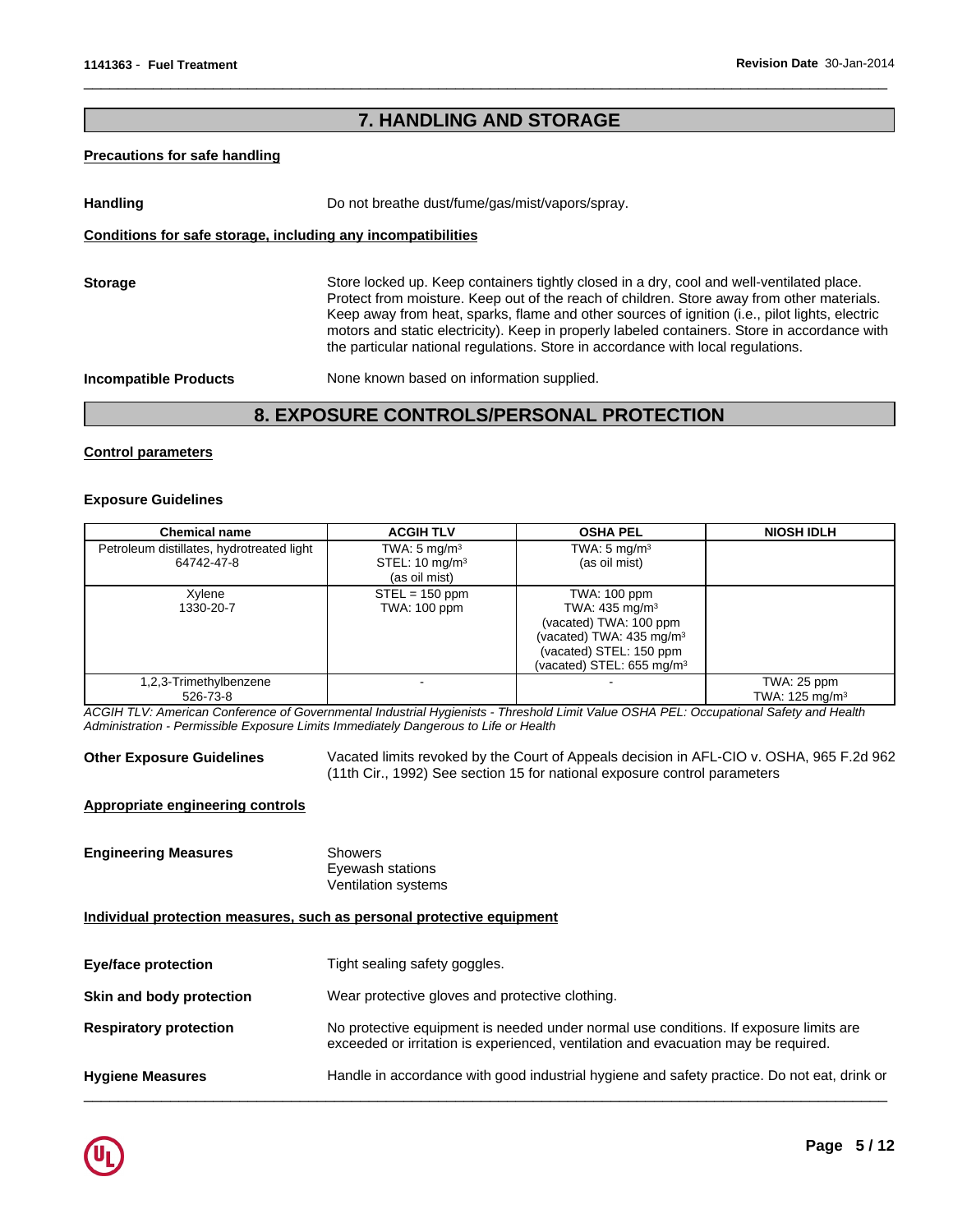# **7. HANDLING AND STORAGE**

#### **Precautions for safe handling**

Handling **Handling Example 20** Do not breathe dust/fume/gas/mist/vapors/spray. **Conditions for safe storage, including any incompatibilities Storage** Store locked up. Keep containers tightly closed in a dry, cool and well-ventilated place.

Protect from moisture. Keep out of the reach of children. Store away from other materials. Keep away from heat, sparks, flame and other sources of ignition (i.e., pilot lights, electric motors and static electricity). Keep in properly labeled containers. Store in accordance with the particular national regulations. Store in accordance with local regulations.

 $\overline{\phantom{a}}$  ,  $\overline{\phantom{a}}$  ,  $\overline{\phantom{a}}$  ,  $\overline{\phantom{a}}$  ,  $\overline{\phantom{a}}$  ,  $\overline{\phantom{a}}$  ,  $\overline{\phantom{a}}$  ,  $\overline{\phantom{a}}$  ,  $\overline{\phantom{a}}$  ,  $\overline{\phantom{a}}$  ,  $\overline{\phantom{a}}$  ,  $\overline{\phantom{a}}$  ,  $\overline{\phantom{a}}$  ,  $\overline{\phantom{a}}$  ,  $\overline{\phantom{a}}$  ,  $\overline{\phantom{a}}$ 

**Incompatible Products** None known based on information supplied.

# **8. EXPOSURE CONTROLS/PERSONAL PROTECTION**

### **Control parameters**

#### **Exposure Guidelines**

| <b>Chemical name</b>                                    | <b>ACGIH TLV</b>                                                      | <b>OSHA PEL</b>                                                                                                                                                                 | <b>NIOSH IDLH</b>                        |
|---------------------------------------------------------|-----------------------------------------------------------------------|---------------------------------------------------------------------------------------------------------------------------------------------------------------------------------|------------------------------------------|
| Petroleum distillates, hydrotreated light<br>64742-47-8 | TWA: $5 \text{ mg/m}^3$<br>STEL: $10 \text{ mg/m}^3$<br>(as oil mist) | TWA: $5 \text{ mg/m}^3$<br>(as oil mist)                                                                                                                                        |                                          |
| Xylene<br>1330-20-7                                     | $STEL = 150$ ppm<br>TWA: 100 ppm                                      | TWA: 100 ppm<br>TWA: 435 mg/m <sup>3</sup><br>(vacated) TWA: 100 ppm<br>(vacated) TWA: $435 \text{ mg/m}^3$<br>(vacated) STEL: 150 ppm<br>(vacated) STEL: 655 mg/m <sup>3</sup> |                                          |
| 1,2,3-Trimethylbenzene<br>526-73-8                      |                                                                       |                                                                                                                                                                                 | TWA: 25 ppm<br>TWA: $125 \text{ mg/m}^3$ |

*ACGIH TLV: American Conference of Governmental Industrial Hygienists - Threshold Limit Value OSHA PEL: Occupational Safety and Health Administration - Permissible Exposure Limits Immediately Dangerous to Life or Health*

**Other Exposure Guidelines** Vacated limits revoked by the Court of Appeals decision in AFL-CIO v. OSHA, 965 F.2d 962 (11th Cir., 1992) See section 15 for national exposure control parameters

### **Appropriate engineering controls**

**Engineering Measures** Showers Eyewash stations Ventilation systems

**Individual protection measures, such as personal protective equipment**

| Tight sealing safety goggles.                                                                                                                                               |
|-----------------------------------------------------------------------------------------------------------------------------------------------------------------------------|
| Wear protective gloves and protective clothing.                                                                                                                             |
| No protective equipment is needed under normal use conditions. If exposure limits are<br>exceeded or irritation is experienced, ventilation and evacuation may be required. |
| Handle in accordance with good industrial hygiene and safety practice. Do not eat, drink or                                                                                 |
|                                                                                                                                                                             |

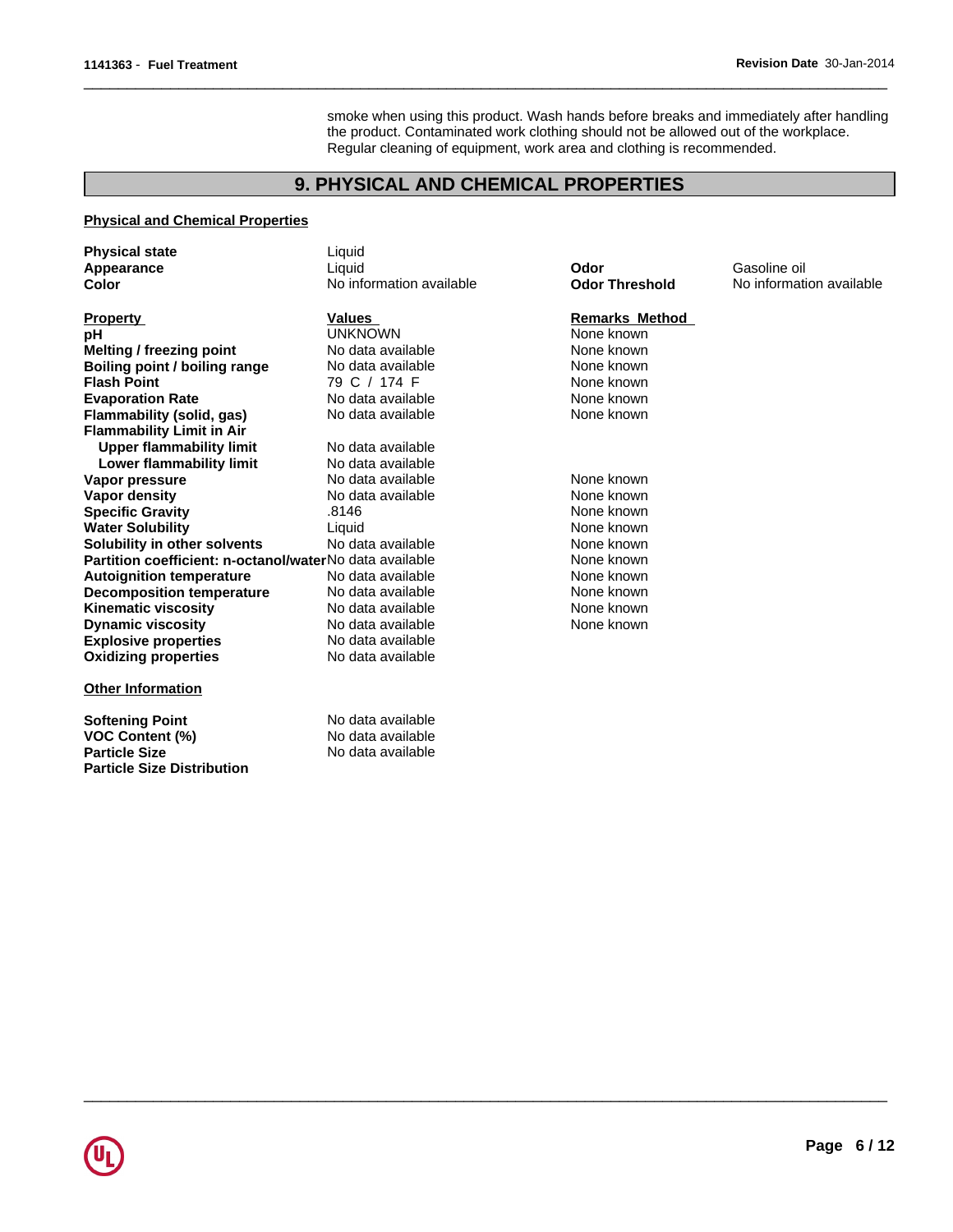smoke when using this product. Wash hands before breaks and immediately after handling the product. Contaminated work clothing should not be allowed out of the workplace. Regular cleaning of equipment, work area and clothing is recommended.

 $\overline{\phantom{a}}$  ,  $\overline{\phantom{a}}$  ,  $\overline{\phantom{a}}$  ,  $\overline{\phantom{a}}$  ,  $\overline{\phantom{a}}$  ,  $\overline{\phantom{a}}$  ,  $\overline{\phantom{a}}$  ,  $\overline{\phantom{a}}$  ,  $\overline{\phantom{a}}$  ,  $\overline{\phantom{a}}$  ,  $\overline{\phantom{a}}$  ,  $\overline{\phantom{a}}$  ,  $\overline{\phantom{a}}$  ,  $\overline{\phantom{a}}$  ,  $\overline{\phantom{a}}$  ,  $\overline{\phantom{a}}$ 

 $\overline{\phantom{a}}$  ,  $\overline{\phantom{a}}$  ,  $\overline{\phantom{a}}$  ,  $\overline{\phantom{a}}$  ,  $\overline{\phantom{a}}$  ,  $\overline{\phantom{a}}$  ,  $\overline{\phantom{a}}$  ,  $\overline{\phantom{a}}$  ,  $\overline{\phantom{a}}$  ,  $\overline{\phantom{a}}$  ,  $\overline{\phantom{a}}$  ,  $\overline{\phantom{a}}$  ,  $\overline{\phantom{a}}$  ,  $\overline{\phantom{a}}$  ,  $\overline{\phantom{a}}$  ,  $\overline{\phantom{a}}$ 

# **9. PHYSICAL AND CHEMICAL PROPERTIES**

### **Physical and Chemical Properties**

**Particle Size Distribution**

| <b>Physical state</b>                                   | Liquid                   |                       |                          |
|---------------------------------------------------------|--------------------------|-----------------------|--------------------------|
| Appearance                                              | Liquid                   | Odor                  | Gasoline oil             |
| Color                                                   | No information available | <b>Odor Threshold</b> | No information available |
| <b>Property</b>                                         | <b>Values</b>            | <b>Remarks Method</b> |                          |
| рH                                                      | <b>UNKNOWN</b>           | None known            |                          |
| Melting / freezing point                                | No data available        | None known            |                          |
| Boiling point / boiling range                           | No data available        | None known            |                          |
| <b>Flash Point</b>                                      | 79 C / 174 F             | None known            |                          |
| <b>Evaporation Rate</b>                                 | No data available        | None known            |                          |
| Flammability (solid, gas)                               | No data available        | None known            |                          |
| <b>Flammability Limit in Air</b>                        |                          |                       |                          |
| Upper flammability limit                                | No data available        |                       |                          |
| Lower flammability limit                                | No data available        |                       |                          |
| Vapor pressure                                          | No data available        | None known            |                          |
| Vapor density                                           | No data available        | None known            |                          |
| <b>Specific Gravity</b>                                 | .8146                    | None known            |                          |
| <b>Water Solubility</b>                                 | Liquid                   | None known            |                          |
| Solubility in other solvents                            | No data available        | None known            |                          |
| Partition coefficient: n-octanol/waterNo data available |                          | None known            |                          |
| <b>Autoignition temperature</b>                         | No data available        | None known            |                          |
| <b>Decomposition temperature</b>                        | No data available        | None known            |                          |
| <b>Kinematic viscosity</b>                              | No data available        | None known            |                          |
| <b>Dynamic viscosity</b>                                | No data available        | None known            |                          |
| <b>Explosive properties</b>                             | No data available        |                       |                          |
| <b>Oxidizing properties</b>                             | No data available        |                       |                          |
| <b>Other Information</b>                                |                          |                       |                          |
| <b>Softening Point</b>                                  | No data available        |                       |                          |
| <b>VOC Content (%)</b>                                  | No data available        |                       |                          |
| <b>Particle Size</b>                                    | No data available        |                       |                          |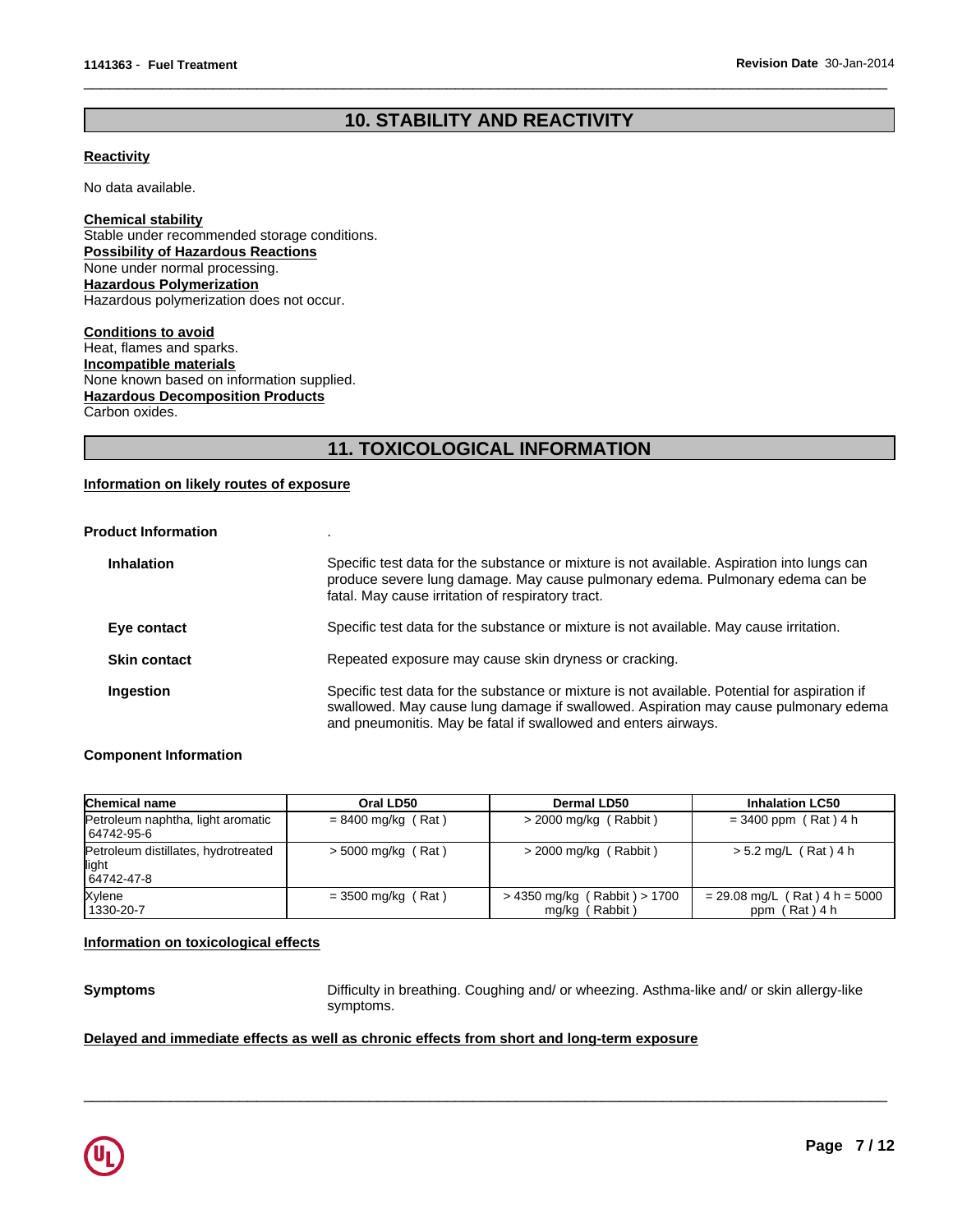# **10. STABILITY AND REACTIVITY**

 $\overline{\phantom{a}}$  ,  $\overline{\phantom{a}}$  ,  $\overline{\phantom{a}}$  ,  $\overline{\phantom{a}}$  ,  $\overline{\phantom{a}}$  ,  $\overline{\phantom{a}}$  ,  $\overline{\phantom{a}}$  ,  $\overline{\phantom{a}}$  ,  $\overline{\phantom{a}}$  ,  $\overline{\phantom{a}}$  ,  $\overline{\phantom{a}}$  ,  $\overline{\phantom{a}}$  ,  $\overline{\phantom{a}}$  ,  $\overline{\phantom{a}}$  ,  $\overline{\phantom{a}}$  ,  $\overline{\phantom{a}}$ 

#### **Reactivity**

No data available.

**Chemical stability** Stable under recommended storage conditions. **Possibility of Hazardous Reactions** None under normal processing. **Hazardous Polymerization** Hazardous polymerization does not occur.

**Hazardous Decomposition Products** Carbon oxides. **Conditions to avoid** Heat, flames and sparks. **Incompatible materials** None known based on information supplied.

# **11. TOXICOLOGICAL INFORMATION**

### **Information on likely routes of exposure**

# **Product Information** .

| <b>Inhalation</b>   | Specific test data for the substance or mixture is not available. Aspiration into lungs can<br>produce severe lung damage. May cause pulmonary edema. Pulmonary edema can be<br>fatal. May cause irritation of respiratory tract.                      |
|---------------------|--------------------------------------------------------------------------------------------------------------------------------------------------------------------------------------------------------------------------------------------------------|
| Eye contact         | Specific test data for the substance or mixture is not available. May cause irritation.                                                                                                                                                                |
| <b>Skin contact</b> | Repeated exposure may cause skin dryness or cracking.                                                                                                                                                                                                  |
| Ingestion           | Specific test data for the substance or mixture is not available. Potential for aspiration if<br>swallowed. May cause lung damage if swallowed. Aspiration may cause pulmonary edema<br>and pneumonitis. May be fatal if swallowed and enters airways. |

#### **Component Information**

| Chemical name                                               | Oral LD50            | Dermal LD50                                    | <b>Inhalation LC50</b>                           |
|-------------------------------------------------------------|----------------------|------------------------------------------------|--------------------------------------------------|
| Petroleum naphtha, light aromatic<br>64742-95-6             | $= 8400$ mg/kg (Rat) | $>$ 2000 mg/kg (Rabbit)                        | $= 3400$ ppm (Rat) 4 h                           |
| Petroleum distillates, hydrotreated<br>llight<br>64742-47-8 | $>$ 5000 mg/kg (Rat) | $>$ 2000 mg/kg (Rabbit)                        | $> 5.2$ mg/L (Rat) 4 h                           |
| Xylene<br>1330-20-7                                         | $=$ 3500 mg/kg (Rat) | > 4350 mg/kg (Rabbit) > 1700<br>mg/kg (Rabbit) | $= 29.08$ mg/L (Rat) 4 h = 5000<br>ppm (Rat) 4 h |

#### **Information on toxicological effects**

**Symptoms** Difficulty in breathing. Coughing and/ or wheezing. Asthma-like and/ or skin allergy-like symptoms.

 $\overline{\phantom{a}}$  ,  $\overline{\phantom{a}}$  ,  $\overline{\phantom{a}}$  ,  $\overline{\phantom{a}}$  ,  $\overline{\phantom{a}}$  ,  $\overline{\phantom{a}}$  ,  $\overline{\phantom{a}}$  ,  $\overline{\phantom{a}}$  ,  $\overline{\phantom{a}}$  ,  $\overline{\phantom{a}}$  ,  $\overline{\phantom{a}}$  ,  $\overline{\phantom{a}}$  ,  $\overline{\phantom{a}}$  ,  $\overline{\phantom{a}}$  ,  $\overline{\phantom{a}}$  ,  $\overline{\phantom{a}}$ 

#### **Delayed and immediate effects as well as chronic effects from short and long-term exposure**

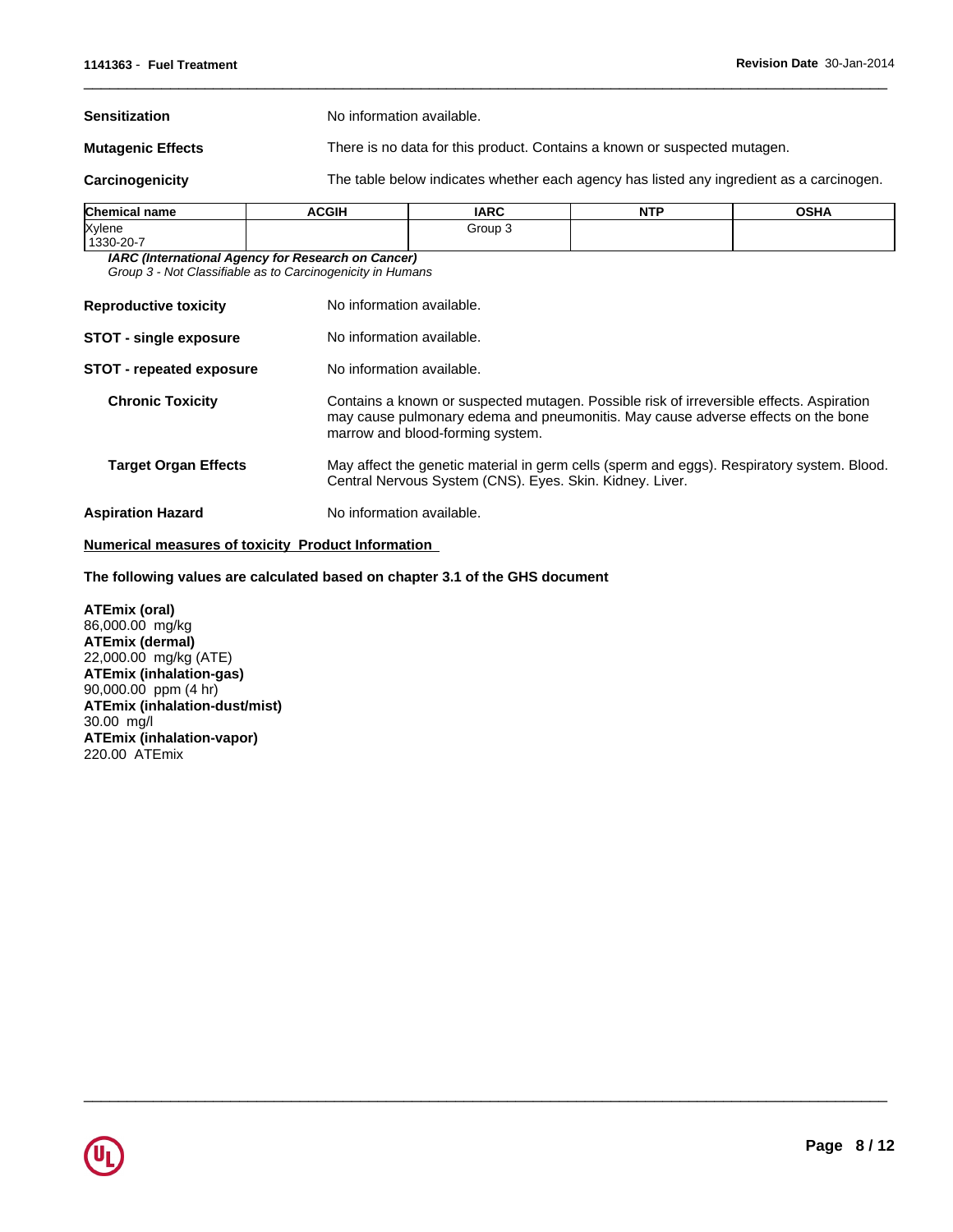**Sensitization** No information available.

**Mutagenic Effects** There is no data for this product. Contains a known or suspected mutagen.

**Carcinogenicity** The table below indicates whether each agency has listed any ingredient as a carcinogen.

 $\overline{\phantom{a}}$  ,  $\overline{\phantom{a}}$  ,  $\overline{\phantom{a}}$  ,  $\overline{\phantom{a}}$  ,  $\overline{\phantom{a}}$  ,  $\overline{\phantom{a}}$  ,  $\overline{\phantom{a}}$  ,  $\overline{\phantom{a}}$  ,  $\overline{\phantom{a}}$  ,  $\overline{\phantom{a}}$  ,  $\overline{\phantom{a}}$  ,  $\overline{\phantom{a}}$  ,  $\overline{\phantom{a}}$  ,  $\overline{\phantom{a}}$  ,  $\overline{\phantom{a}}$  ,  $\overline{\phantom{a}}$ 

 $\overline{\phantom{a}}$  ,  $\overline{\phantom{a}}$  ,  $\overline{\phantom{a}}$  ,  $\overline{\phantom{a}}$  ,  $\overline{\phantom{a}}$  ,  $\overline{\phantom{a}}$  ,  $\overline{\phantom{a}}$  ,  $\overline{\phantom{a}}$  ,  $\overline{\phantom{a}}$  ,  $\overline{\phantom{a}}$  ,  $\overline{\phantom{a}}$  ,  $\overline{\phantom{a}}$  ,  $\overline{\phantom{a}}$  ,  $\overline{\phantom{a}}$  ,  $\overline{\phantom{a}}$  ,  $\overline{\phantom{a}}$ 

| <b>Chemical name</b> | <b>ACGIH</b> | <b>IARC</b> | <b>NITD</b><br>IV I | <b>OSHA</b> |
|----------------------|--------------|-------------|---------------------|-------------|
| Xylene               |              | Group :́    |                     |             |
| 1330-20-7            |              |             |                     |             |

*IARC (International Agency for Research on Cancer) Group 3 - Not Classifiable as to Carcinogenicity in Humans*

| <b>Reproductive toxicity</b>    | No information available.                                                                                                                                                                                        |
|---------------------------------|------------------------------------------------------------------------------------------------------------------------------------------------------------------------------------------------------------------|
| <b>STOT - single exposure</b>   | No information available.                                                                                                                                                                                        |
| <b>STOT - repeated exposure</b> | No information available.                                                                                                                                                                                        |
| <b>Chronic Toxicity</b>         | Contains a known or suspected mutagen. Possible risk of irreversible effects. Aspiration<br>may cause pulmonary edema and pneumonitis. May cause adverse effects on the bone<br>marrow and blood-forming system. |
| <b>Target Organ Effects</b>     | May affect the genetic material in germ cells (sperm and eggs). Respiratory system. Blood.<br>Central Nervous System (CNS). Eyes. Skin. Kidney. Liver.                                                           |
| <b>Aspiration Hazard</b>        | No information available.                                                                                                                                                                                        |

#### **Numerical measures of toxicity Product Information**

**The following values are calculated based on chapter 3.1 of the GHS document**

**ATEmix (oral)** 86,000.00 mg/kg **ATEmix (dermal)** 22,000.00 mg/kg (ATE) **ATEmix (inhalation-gas)** 90,000.00 ppm (4 hr) **ATEmix (inhalation-dust/mist)** 30.00 mg/l **ATEmix (inhalation-vapor)** 220.00 ATEmix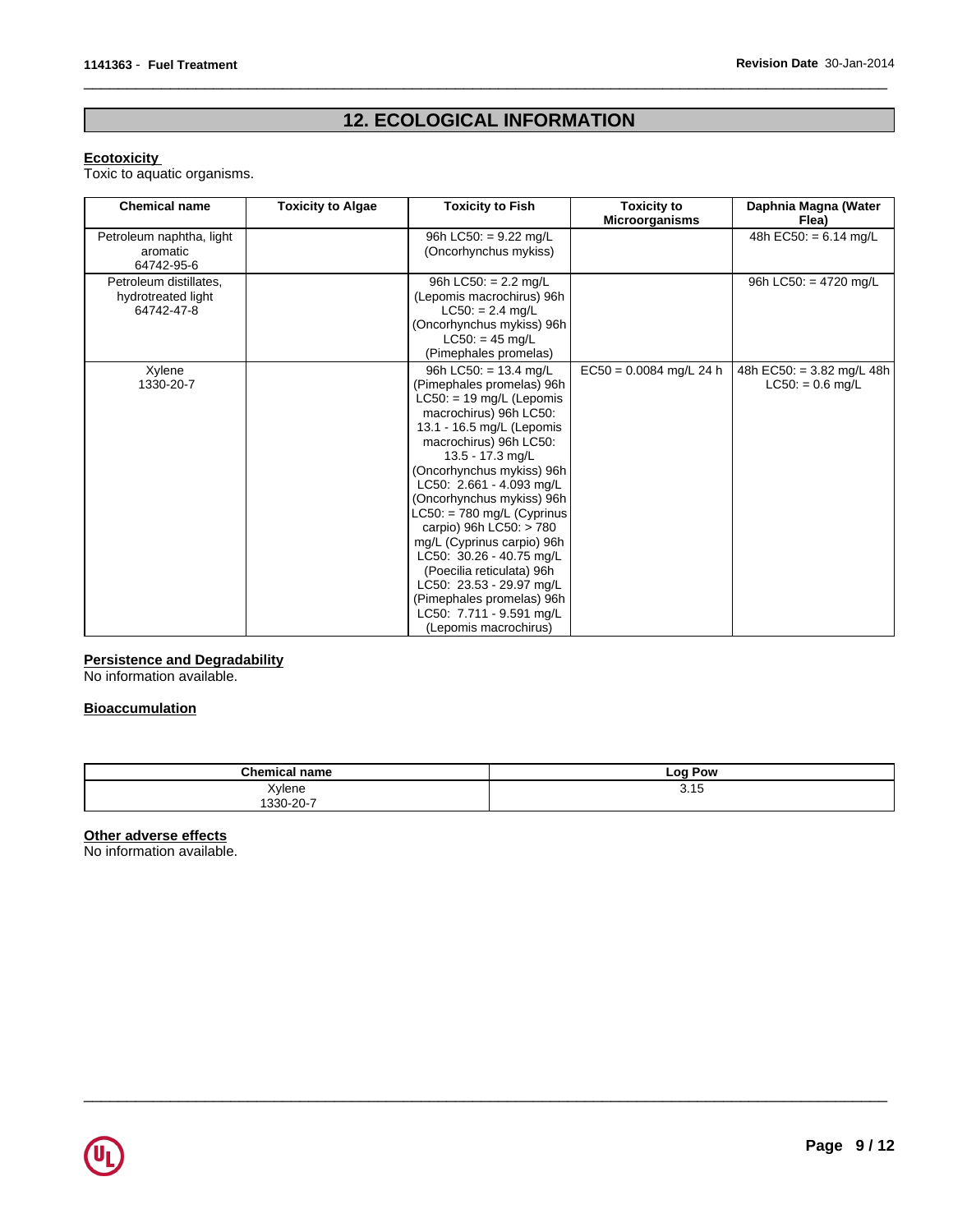# **12. ECOLOGICAL INFORMATION**

 $\overline{\phantom{a}}$  ,  $\overline{\phantom{a}}$  ,  $\overline{\phantom{a}}$  ,  $\overline{\phantom{a}}$  ,  $\overline{\phantom{a}}$  ,  $\overline{\phantom{a}}$  ,  $\overline{\phantom{a}}$  ,  $\overline{\phantom{a}}$  ,  $\overline{\phantom{a}}$  ,  $\overline{\phantom{a}}$  ,  $\overline{\phantom{a}}$  ,  $\overline{\phantom{a}}$  ,  $\overline{\phantom{a}}$  ,  $\overline{\phantom{a}}$  ,  $\overline{\phantom{a}}$  ,  $\overline{\phantom{a}}$ 

#### **Ecotoxicity**

Toxic to aquatic organisms.

| <b>Chemical name</b>                                       | <b>Toxicity to Algae</b> | <b>Toxicity to Fish</b>                                                                                                                                                                                                                                                                                                                                                                                                                                                                                                                       | <b>Toxicity to</b><br><b>Microorganisms</b> | Daphnia Magna (Water<br>Flea)                             |
|------------------------------------------------------------|--------------------------|-----------------------------------------------------------------------------------------------------------------------------------------------------------------------------------------------------------------------------------------------------------------------------------------------------------------------------------------------------------------------------------------------------------------------------------------------------------------------------------------------------------------------------------------------|---------------------------------------------|-----------------------------------------------------------|
| Petroleum naphtha, light<br>aromatic<br>64742-95-6         |                          | 96h LC50: = 9.22 mg/L<br>(Oncorhynchus mykiss)                                                                                                                                                                                                                                                                                                                                                                                                                                                                                                |                                             | $\overline{48h}$ EC50: = 6.14 mg/L                        |
| Petroleum distillates,<br>hydrotreated light<br>64742-47-8 |                          | 96h LC50: $= 2.2$ mg/L<br>(Lepomis macrochirus) 96h<br>$LC50: = 2.4$ mg/L<br>(Oncorhynchus mykiss) 96h<br>$LC50: = 45$ mg/L<br>(Pimephales promelas)                                                                                                                                                                                                                                                                                                                                                                                          |                                             | 96h LC50: = $4720$ mg/L                                   |
| Xylene<br>1330-20-7                                        |                          | 96h LC50: $= 13.4$ mg/L<br>(Pimephales promelas) 96h<br>$LC50: = 19$ mg/L (Lepomis<br>macrochirus) 96h LC50:<br>13.1 - 16.5 mg/L (Lepomis<br>macrochirus) 96h LC50:<br>13.5 - 17.3 mg/L<br>(Oncorhynchus mykiss) 96h<br>LC50: 2.661 - 4.093 mg/L<br>(Oncorhynchus mykiss) 96h<br>$LC50: = 780$ mg/L (Cyprinus<br>carpio) 96h LC50: > 780<br>mg/L (Cyprinus carpio) 96h<br>LC50: 30.26 - 40.75 mg/L<br>(Poecilia reticulata) 96h<br>LC50: 23.53 - 29.97 mg/L<br>(Pimephales promelas) 96h<br>LC50: 7.711 - 9.591 mg/L<br>(Lepomis macrochirus) | $EC50 = 0.0084$ mg/L 24 h                   | 48h EC50: = $3.82 \text{ mg/L}$ 48h<br>$LC50: = 0.6$ mg/L |

#### **Persistence and Degradability**

No information available.

### **Bioaccumulation**

| Champ<br>$-$ mo                           | <b>Log Pow</b> |
|-------------------------------------------|----------------|
| Yvlene<br>$ -$<br>$\sim$ $\sim$<br>$\sim$ | ں ا رب         |
| ٬.,                                       |                |

 $\overline{\phantom{a}}$  ,  $\overline{\phantom{a}}$  ,  $\overline{\phantom{a}}$  ,  $\overline{\phantom{a}}$  ,  $\overline{\phantom{a}}$  ,  $\overline{\phantom{a}}$  ,  $\overline{\phantom{a}}$  ,  $\overline{\phantom{a}}$  ,  $\overline{\phantom{a}}$  ,  $\overline{\phantom{a}}$  ,  $\overline{\phantom{a}}$  ,  $\overline{\phantom{a}}$  ,  $\overline{\phantom{a}}$  ,  $\overline{\phantom{a}}$  ,  $\overline{\phantom{a}}$  ,  $\overline{\phantom{a}}$ 

### **Other adverse effects**

No information available.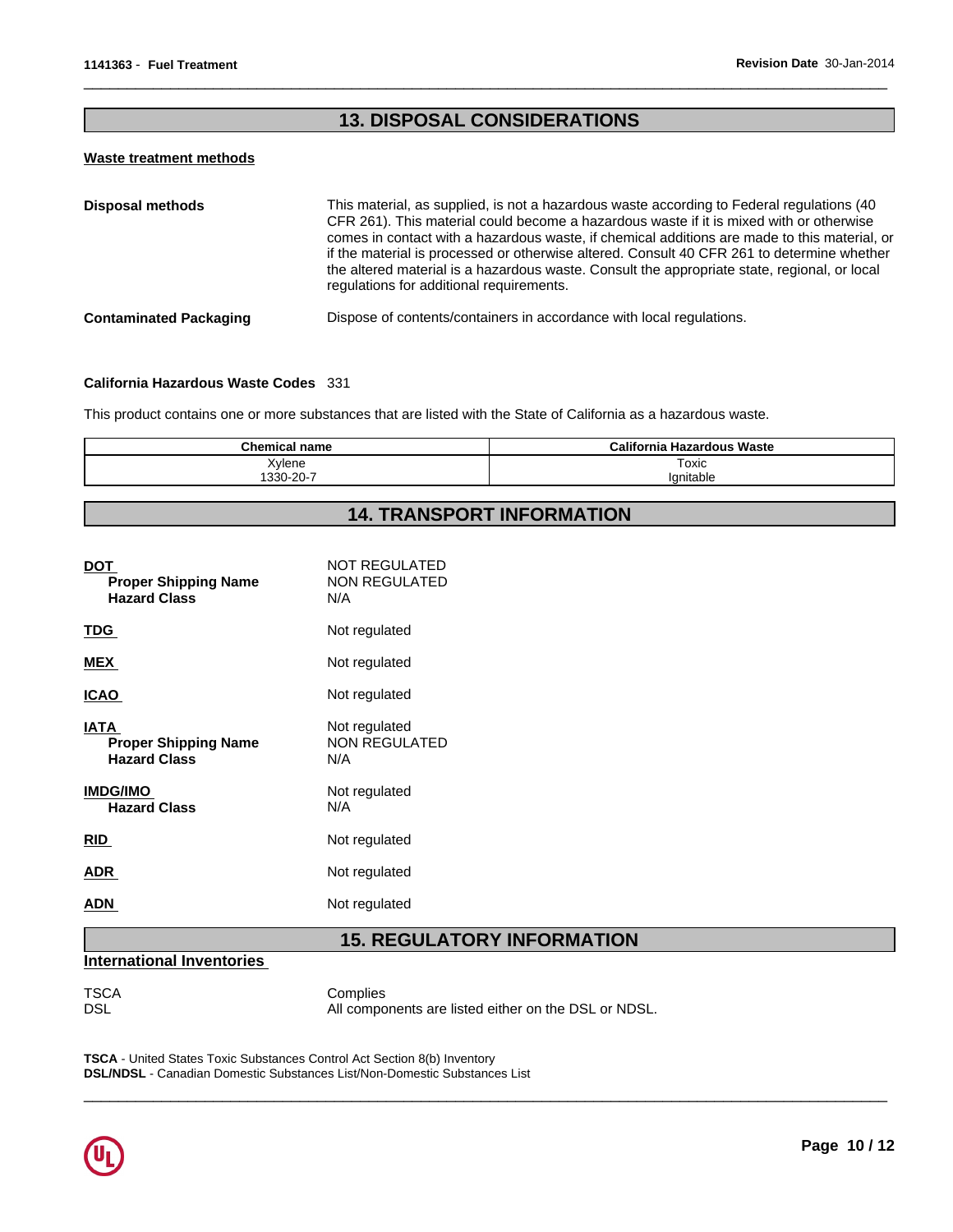# **13. DISPOSAL CONSIDERATIONS**

 $\overline{\phantom{a}}$  ,  $\overline{\phantom{a}}$  ,  $\overline{\phantom{a}}$  ,  $\overline{\phantom{a}}$  ,  $\overline{\phantom{a}}$  ,  $\overline{\phantom{a}}$  ,  $\overline{\phantom{a}}$  ,  $\overline{\phantom{a}}$  ,  $\overline{\phantom{a}}$  ,  $\overline{\phantom{a}}$  ,  $\overline{\phantom{a}}$  ,  $\overline{\phantom{a}}$  ,  $\overline{\phantom{a}}$  ,  $\overline{\phantom{a}}$  ,  $\overline{\phantom{a}}$  ,  $\overline{\phantom{a}}$ 

#### **Waste treatment methods**

| <b>Disposal methods</b>       | This material, as supplied, is not a hazardous waste according to Federal regulations (40<br>CFR 261). This material could become a hazardous waste if it is mixed with or otherwise<br>comes in contact with a hazardous waste, if chemical additions are made to this material, or<br>if the material is processed or otherwise altered. Consult 40 CFR 261 to determine whether<br>the altered material is a hazardous waste. Consult the appropriate state, regional, or local<br>regulations for additional requirements. |
|-------------------------------|--------------------------------------------------------------------------------------------------------------------------------------------------------------------------------------------------------------------------------------------------------------------------------------------------------------------------------------------------------------------------------------------------------------------------------------------------------------------------------------------------------------------------------|
| <b>Contaminated Packaging</b> | Dispose of contents/containers in accordance with local regulations.                                                                                                                                                                                                                                                                                                                                                                                                                                                           |

#### **California Hazardous Waste Codes** 331

This product contains one or more substances that are listed with the State of California as a hazardous waste.

| Chemical<br>name   | Waste<br><br>California<br>Hazardous |
|--------------------|--------------------------------------|
| Xylene             | Toxic                                |
| - ٥٥ -<br>1330-20- | J'gnitabi∈                           |

# **14. TRANSPORT INFORMATION**

| <b>DOT</b><br><b>Proper Shipping Name</b><br><b>Hazard Class</b>  | <b>NOT REGULATED</b><br><b>NON REGULATED</b><br>N/A |
|-------------------------------------------------------------------|-----------------------------------------------------|
| <u>TDG</u>                                                        | Not regulated                                       |
| <b>MEX</b>                                                        | Not regulated                                       |
| <b>ICAO</b>                                                       | Not regulated                                       |
| <b>IATA</b><br><b>Proper Shipping Name</b><br><b>Hazard Class</b> | Not regulated<br><b>NON REGULATED</b><br>N/A        |
| <b>IMDG/IMO</b><br><b>Hazard Class</b>                            | Not regulated<br>N/A                                |
| <b>RID</b>                                                        | Not regulated                                       |
| <b>ADR</b>                                                        | Not regulated                                       |
| ADN                                                               | Not regulated                                       |

# **15. REGULATORY INFORMATION**

### **International Inventories**

TSCA Complies<br>DSL All compo All components are listed either on the DSL or NDSL.

 $\overline{\phantom{a}}$  ,  $\overline{\phantom{a}}$  ,  $\overline{\phantom{a}}$  ,  $\overline{\phantom{a}}$  ,  $\overline{\phantom{a}}$  ,  $\overline{\phantom{a}}$  ,  $\overline{\phantom{a}}$  ,  $\overline{\phantom{a}}$  ,  $\overline{\phantom{a}}$  ,  $\overline{\phantom{a}}$  ,  $\overline{\phantom{a}}$  ,  $\overline{\phantom{a}}$  ,  $\overline{\phantom{a}}$  ,  $\overline{\phantom{a}}$  ,  $\overline{\phantom{a}}$  ,  $\overline{\phantom{a}}$ 

**TSCA** - United States Toxic Substances Control Act Section 8(b) Inventory **DSL/NDSL** - Canadian Domestic Substances List/Non-Domestic Substances List

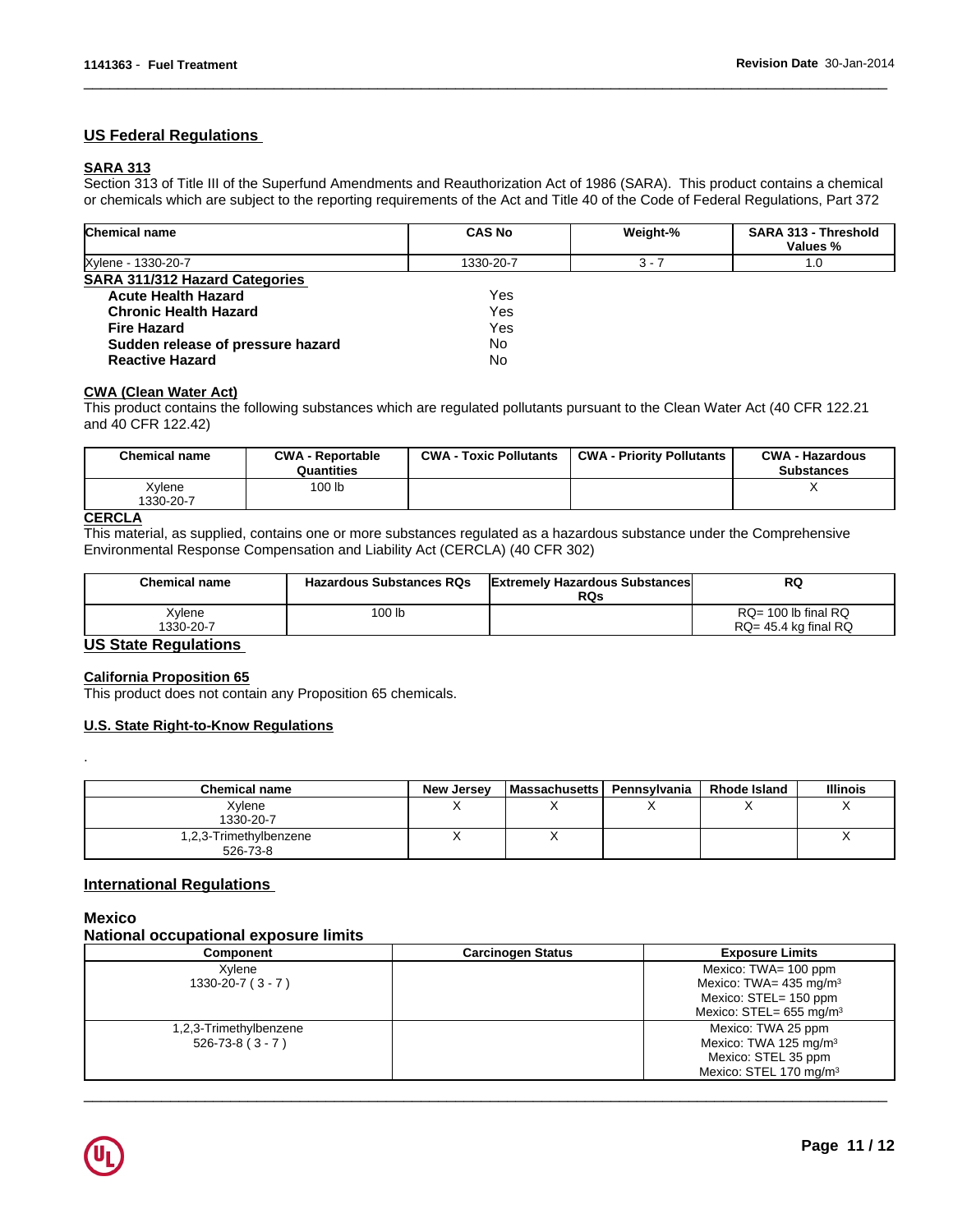# **US Federal Regulations**

### **SARA 313**

Section 313 of Title III of the Superfund Amendments and Reauthorization Act of 1986 (SARA). This product contains a chemical or chemicals which are subject to the reporting requirements of the Act and Title 40 of the Code of Federal Regulations, Part 372

 $\overline{\phantom{a}}$  ,  $\overline{\phantom{a}}$  ,  $\overline{\phantom{a}}$  ,  $\overline{\phantom{a}}$  ,  $\overline{\phantom{a}}$  ,  $\overline{\phantom{a}}$  ,  $\overline{\phantom{a}}$  ,  $\overline{\phantom{a}}$  ,  $\overline{\phantom{a}}$  ,  $\overline{\phantom{a}}$  ,  $\overline{\phantom{a}}$  ,  $\overline{\phantom{a}}$  ,  $\overline{\phantom{a}}$  ,  $\overline{\phantom{a}}$  ,  $\overline{\phantom{a}}$  ,  $\overline{\phantom{a}}$ 

| <b>Chemical name</b>              | <b>CAS No</b> | Weight-% | SARA 313 - Threshold<br>Values % |
|-----------------------------------|---------------|----------|----------------------------------|
| Xylene - 1330-20-7                | 1330-20-7     | $3 - 7$  | 1.0                              |
| SARA 311/312 Hazard Categories    |               |          |                                  |
| <b>Acute Health Hazard</b>        | Yes.          |          |                                  |
| <b>Chronic Health Hazard</b>      | Yes           |          |                                  |
| <b>Fire Hazard</b>                | Yes           |          |                                  |
| Sudden release of pressure hazard | <b>No</b>     |          |                                  |
| <b>Reactive Hazard</b>            | No            |          |                                  |

### **CWA (Clean Water Act)**

This product contains the following substances which are regulated pollutants pursuant to the Clean Water Act (40 CFR 122.21 and 40 CFR 122.42)

| <b>Chemical name</b> | <b>CWA - Reportable</b><br>Quantities | <b>CWA - Toxic Pollutants</b> | <b>CWA - Priority Pollutants</b> | <b>CWA - Hazardous</b><br><b>Substances</b> |
|----------------------|---------------------------------------|-------------------------------|----------------------------------|---------------------------------------------|
| Xylene<br>1330-20-7  | 100 lb                                |                               |                                  |                                             |
| ------               |                                       |                               |                                  |                                             |

# **CERCLA**

This material, as supplied, contains one or more substances regulated as a hazardous substance under the Comprehensive Environmental Response Compensation and Liability Act (CERCLA) (40 CFR 302)

| <b>Chemical name</b> | <b>Hazardous Substances RQs</b> | <b>Extremely Hazardous Substances</b><br><b>RQs</b> | RQ                        |
|----------------------|---------------------------------|-----------------------------------------------------|---------------------------|
| Xylene               | 100 lb                          |                                                     | $RQ = 100$ lb final $RQ$  |
| 1330-20-7            |                                 |                                                     | $RQ = 45.4$ kg final $RQ$ |

# **US State Regulations**

### **California Proposition 65**

This product does not contain any Proposition 65 chemicals.

#### **U.S. State Right-to-Know Regulations**

| <b>Chemical name</b>               | <b>New Jersey</b> | <b>Massachusetts</b> | Pennsylvania | <b>Rhode Island</b> | <b>Illinois</b> |
|------------------------------------|-------------------|----------------------|--------------|---------------------|-----------------|
| Xylene                             |                   |                      |              |                     | $\lambda$       |
| 1330-20-7                          |                   |                      |              |                     |                 |
| 1,2,3-Trimethylbenzene<br>526-73-8 |                   |                      |              |                     | $\lambda$       |

### **International Regulations**

### **Mexico**

 $\blacksquare$ 

### **National occupational exposure limits**

| Component               | <b>Carcinogen Status</b> | <b>Exposure Limits</b>                 |
|-------------------------|--------------------------|----------------------------------------|
| Xylene                  |                          | Mexico: $TWA = 100$ ppm                |
| $1330 - 20 - 7 (3 - 7)$ |                          | Mexico: TWA= $435 \text{ mg/m}^3$      |
|                         |                          | Mexico: STEL= 150 ppm                  |
|                         |                          | Mexico: $STEL = 655$ mg/m <sup>3</sup> |
| 1,2,3-Trimethylbenzene  |                          | Mexico: TWA 25 ppm                     |
| $526 - 73 - 8 (3 - 7)$  |                          | Mexico: TWA 125 mg/m <sup>3</sup>      |
|                         |                          | Mexico: STEL 35 ppm                    |
|                         |                          | Mexico: STEL 170 mg/m <sup>3</sup>     |